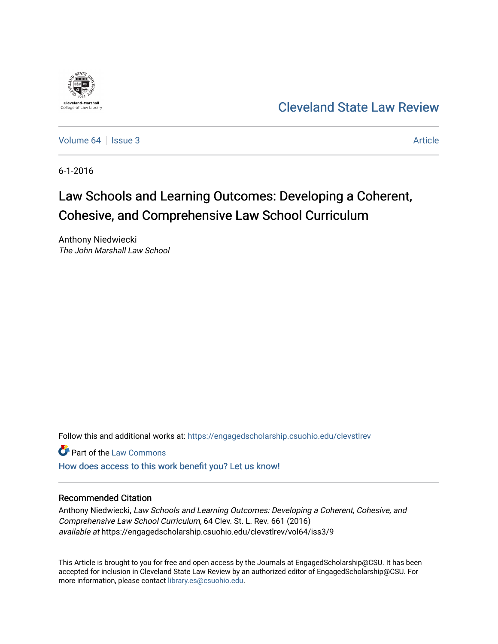

[Cleveland State Law Review](https://engagedscholarship.csuohio.edu/clevstlrev) 

[Volume 64](https://engagedscholarship.csuohio.edu/clevstlrev/vol64) | [Issue 3](https://engagedscholarship.csuohio.edu/clevstlrev/vol64/iss3) Article

6-1-2016

# Law Schools and Learning Outcomes: Developing a Coherent, Cohesive, and Comprehensive Law School Curriculum

Anthony Niedwiecki The John Marshall Law School

Follow this and additional works at: [https://engagedscholarship.csuohio.edu/clevstlrev](https://engagedscholarship.csuohio.edu/clevstlrev?utm_source=engagedscholarship.csuohio.edu%2Fclevstlrev%2Fvol64%2Fiss3%2F9&utm_medium=PDF&utm_campaign=PDFCoverPages)

**Part of the [Law Commons](http://network.bepress.com/hgg/discipline/578?utm_source=engagedscholarship.csuohio.edu%2Fclevstlrev%2Fvol64%2Fiss3%2F9&utm_medium=PDF&utm_campaign=PDFCoverPages)** 

[How does access to this work benefit you? Let us know!](http://library.csuohio.edu/engaged/)

# Recommended Citation

Anthony Niedwiecki, Law Schools and Learning Outcomes: Developing a Coherent, Cohesive, and Comprehensive Law School Curriculum, 64 Clev. St. L. Rev. 661 (2016) available at https://engagedscholarship.csuohio.edu/clevstlrev/vol64/iss3/9

This Article is brought to you for free and open access by the Journals at EngagedScholarship@CSU. It has been accepted for inclusion in Cleveland State Law Review by an authorized editor of EngagedScholarship@CSU. For more information, please contact [library.es@csuohio.edu](mailto:library.es@csuohio.edu).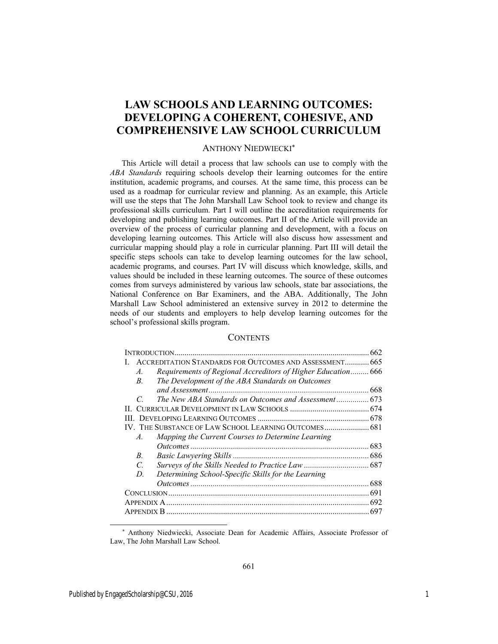# **LAW SCHOOLS AND LEARNING OUTCOMES: DEVELOPING A COHERENT, COHESIVE, AND COMPREHENSIVE LAW SCHOOL CURRICULUM**

# ANTHONY NIEDWIECKI

This Article will detail a process that law schools can use to comply with the *ABA Standards* requiring schools develop their learning outcomes for the entire institution, academic programs, and courses. At the same time, this process can be used as a roadmap for curricular review and planning. As an example, this Article will use the steps that The John Marshall Law School took to review and change its professional skills curriculum. Part I will outline the accreditation requirements for developing and publishing learning outcomes. Part II of the Article will provide an overview of the process of curricular planning and development, with a focus on developing learning outcomes. This Article will also discuss how assessment and curricular mapping should play a role in curricular planning. Part III will detail the specific steps schools can take to develop learning outcomes for the law school, academic programs, and courses. Part IV will discuss which knowledge, skills, and values should be included in these learning outcomes. The source of these outcomes comes from surveys administered by various law schools, state bar associations, the National Conference on Bar Examiners, and the ABA. Additionally, The John Marshall Law School administered an extensive survey in 2012 to determine the needs of our students and employers to help develop learning outcomes for the school's professional skills program.

# **CONTENTS**

|               |                                                              | 662 |
|---------------|--------------------------------------------------------------|-----|
|               | ACCREDITATION STANDARDS FOR OUTCOMES AND ASSESSMENT 665      |     |
| $A_{\cdot}$   | Requirements of Regional Accreditors of Higher Education 666 |     |
| $B_{\cdot}$   | The Development of the ABA Standards on Outcomes             |     |
|               |                                                              | 668 |
| C             | The New ABA Standards on Outcomes and Assessment 673         |     |
|               |                                                              |     |
|               |                                                              |     |
|               | IV. THE SUBSTANCE OF LAW SCHOOL LEARNING OUTCOMES 681        |     |
| $A_{\cdot}$   | Mapping the Current Courses to Determine Learning            |     |
|               |                                                              | 683 |
| $B_{\cdot}$   |                                                              |     |
| $\mathcal{C}$ |                                                              |     |
| D.            | Determining School-Specific Skills for the Learning          |     |
|               |                                                              |     |
|               |                                                              |     |
|               |                                                              |     |
|               |                                                              |     |
|               |                                                              |     |

 <sup>\*</sup> Anthony Niedwiecki, Associate Dean for Academic Affairs, Associate Professor of Law, The John Marshall Law School.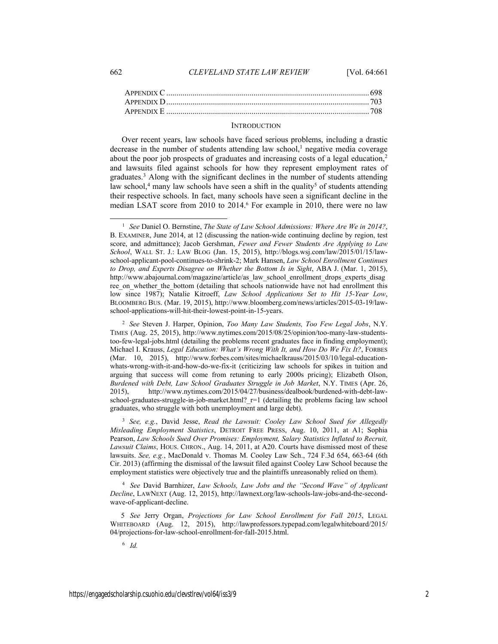#### **INTRODUCTION**

Over recent years, law schools have faced serious problems, including a drastic decrease in the number of students attending law school, $<sup>1</sup>$  negative media coverage</sup> about the poor job prospects of graduates and increasing costs of a legal education, $2$ and lawsuits filed against schools for how they represent employment rates of graduates.<sup>3</sup> Along with the significant declines in the number of students attending law school,<sup>4</sup> many law schools have seen a shift in the quality<sup>5</sup> of students attending their respective schools. In fact, many schools have seen a significant decline in the median LSAT score from 2010 to 2014.<sup>6</sup> For example in 2010, there were no law

<sup>2</sup>*See* Steven J. Harper, Opinion, *Too Many Law Students, Too Few Legal Jobs*, N.Y. TIMES (Aug. 25, 2015), http://www.nytimes.com/2015/08/25/opinion/too-many-law-studentstoo-few-legal-jobs.html (detailing the problems recent graduates face in finding employment); Michael I. Krauss, *Legal Education: What's Wrong With It, and How Do We Fix It?*, FORBES (Mar. 10, 2015), http://www.forbes.com/sites/michaelkrauss/2015/03/10/legal-educationwhats-wrong-with-it-and-how-do-we-fix-it (criticizing law schools for spikes in tuition and arguing that success will come from retuning to early 2000s pricing); Elizabeth Olson, *Burdened with Debt, Law School Graduates Struggle in Job Market*, N.Y. TIMES (Apr. 26, 2015), http://www.nytimes.com/2015/04/27/business/dealbook/burdened-with-debt-lawschool-graduates-struggle-in-job-market.html?\_r=1 (detailing the problems facing law school graduates, who struggle with both unemployment and large debt).

<sup>3</sup>*See, e.g.*, David Jesse, *Read the Lawsuit: Cooley Law School Sued for Allegedly Misleading Employment Statistics*, DETROIT FREE PRESS, Aug. 10, 2011, at A1; Sophia Pearson, *Law Schools Sued Over Promises: Employment, Salary Statistics Inflated to Recruit, Lawsuit Claims*, HOUS. CHRON., Aug. 14, 2011, at A20. Courts have dismissed most of these lawsuits. *See, e.g.*, MacDonald v. Thomas M. Cooley Law Sch., 724 F.3d 654, 663-64 (6th Cir. 2013) (affirming the dismissal of the lawsuit filed against Cooley Law School because the employment statistics were objectively true and the plaintiffs unreasonably relied on them).

4 *See* David Barnhizer, *Law Schools, Law Jobs and the "Second Wave" of Applicant Decline*, LAWNEXT (Aug. 12, 2015), http://lawnext.org/law-schools-law-jobs-and-the-secondwave-of-applicant-decline.

 5 *See* Jerry Organ, *Projections for Law School Enrollment for Fall 2015*, LEGAL WHITEBOARD (Aug. 12, 2015), http://lawprofessors.typepad.com/legalwhiteboard/2015/ 04/projections-for-law-school-enrollment-for-fall-2015.html.

6 *Id.* 

1

<sup>1</sup>*See* Daniel O. Bernstine, *The State of Law School Admissions: Where Are We in 2014?*, B. EXAMINER, June 2014, at 12 (discussing the nation-wide continuing decline by region, test score, and admittance); Jacob Gershman, *Fewer and Fewer Students Are Applying to Law School*, WALL ST. J.: LAW BLOG (Jan. 15, 2015), http://blogs.wsj.com/law/2015/01/15/lawschool-applicant-pool-continues-to-shrink-2; Mark Hansen, *Law School Enrollment Continues to Drop, and Experts Disagree on Whether the Bottom Is in Sight*, ABA J. (Mar. 1, 2015), http://www.abajournal.com/magazine/article/as\_law\_school\_enrollment\_drops\_experts\_disag ree\_on\_whether\_the\_bottom (detailing that schools nationwide have not had enrollment this low since 1987); Natalie Kitroeff, *Law School Applications Set to Hit 15-Year Low*, BLOOMBERG BUS. (Mar. 19, 2015), http://www.bloomberg.com/news/articles/2015-03-19/lawschool-applications-will-hit-their-lowest-point-in-15-years.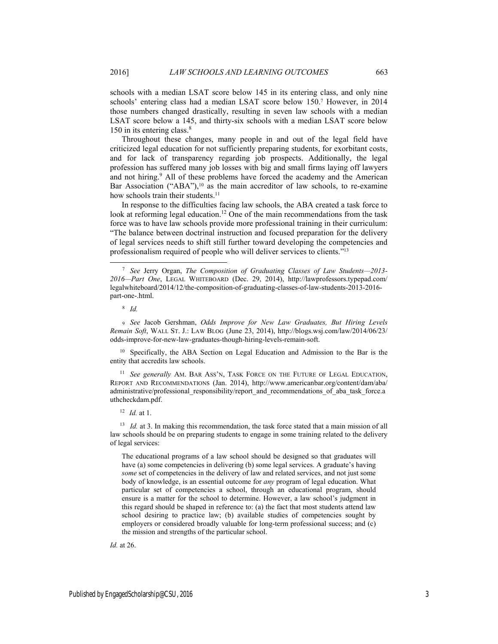schools with a median LSAT score below 145 in its entering class, and only nine schools' entering class had a median LSAT score below 150.7 However, in 2014 those numbers changed drastically, resulting in seven law schools with a median LSAT score below a 145, and thirty-six schools with a median LSAT score below 150 in its entering class.<sup>8</sup>

Throughout these changes, many people in and out of the legal field have criticized legal education for not sufficiently preparing students, for exorbitant costs, and for lack of transparency regarding job prospects. Additionally, the legal profession has suffered many job losses with big and small firms laying off lawyers and not hiring.<sup>9</sup> All of these problems have forced the academy and the American Bar Association ("ABA"), $10$  as the main accreditor of law schools, to re-examine how schools train their students.<sup>11</sup>

In response to the difficulties facing law schools, the ABA created a task force to look at reforming legal education.<sup>12</sup> One of the main recommendations from the task force was to have law schools provide more professional training in their curriculum: "The balance between doctrinal instruction and focused preparation for the delivery of legal services needs to shift still further toward developing the competencies and professionalism required of people who will deliver services to clients."13

8 *Id.* 

9 *See* Jacob Gershman, *Odds Improve for New Law Graduates, But Hiring Levels Remain Soft*, WALL ST. J.: LAW BLOG (June 23, 2014), http://blogs.wsj.com/law/2014/06/23/ odds-improve-for-new-law-graduates-though-hiring-levels-remain-soft.

<sup>10</sup> Specifically, the ABA Section on Legal Education and Admission to the Bar is the entity that accredits law schools.

<sup>11</sup> *See generally* AM. BAR ASS'N, TASK FORCE ON THE FUTURE OF LEGAL EDUCATION, REPORT AND RECOMMENDATIONS (Jan. 2014), http://www.americanbar.org/content/dam/aba/ administrative/professional\_responsibility/report\_and\_recommendations\_of\_aba\_task\_force.a uthcheckdam.pdf.

#### <sup>12</sup>*Id.* at 1.

<sup>13</sup> *Id.* at 3. In making this recommendation, the task force stated that a main mission of all law schools should be on preparing students to engage in some training related to the delivery of legal services:

The educational programs of a law school should be designed so that graduates will have (a) some competencies in delivering (b) some legal services. A graduate's having *some* set of competencies in the delivery of law and related services, and not just some body of knowledge, is an essential outcome for *any* program of legal education. What particular set of competencies a school, through an educational program, should ensure is a matter for the school to determine. However, a law school's judgment in this regard should be shaped in reference to: (a) the fact that most students attend law school desiring to practice law; (b) available studies of competencies sought by employers or considered broadly valuable for long-term professional success; and (c) the mission and strengths of the particular school.

*Id.* at 26.

 <sup>7</sup> *See* Jerry Organ, *The Composition of Graduating Classes of Law Students—2013- 2016—Part One*, LEGAL WHITEBOARD (Dec. 29, 2014), http://lawprofessors.typepad.com/ legalwhiteboard/2014/12/the-composition-of-graduating-classes-of-law-students-2013-2016 part-one-.html.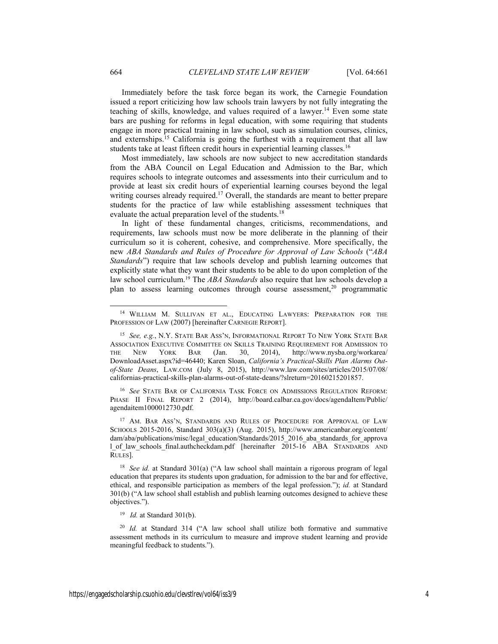Immediately before the task force began its work, the Carnegie Foundation issued a report criticizing how law schools train lawyers by not fully integrating the teaching of skills, knowledge, and values required of a lawyer.<sup>14</sup> Even some state bars are pushing for reforms in legal education, with some requiring that students engage in more practical training in law school, such as simulation courses, clinics, and externships.15 California is going the furthest with a requirement that all law students take at least fifteen credit hours in experiential learning classes.<sup>16</sup>

Most immediately, law schools are now subject to new accreditation standards from the ABA Council on Legal Education and Admission to the Bar, which requires schools to integrate outcomes and assessments into their curriculum and to provide at least six credit hours of experiential learning courses beyond the legal writing courses already required.<sup>17</sup> Overall, the standards are meant to better prepare students for the practice of law while establishing assessment techniques that evaluate the actual preparation level of the students.<sup>18</sup>

In light of these fundamental changes, criticisms, recommendations, and requirements, law schools must now be more deliberate in the planning of their curriculum so it is coherent, cohesive, and comprehensive. More specifically, the new *ABA Standards and Rules of Procedure for Approval of Law Schools* ("*ABA Standards*") require that law schools develop and publish learning outcomes that explicitly state what they want their students to be able to do upon completion of the law school curriculum.19 The *ABA Standards* also require that law schools develop a plan to assess learning outcomes through course assessment,<sup>20</sup> programmatic

<sup>16</sup>*See* STATE BAR OF CALIFORNIA TASK FORCE ON ADMISSIONS REGULATION REFORM: PHASE II FINAL REPORT 2 (2014), http://board.calbar.ca.gov/docs/agendaItem/Public/ agendaitem1000012730.pdf.

<sup>17</sup> AM. BAR ASS'N, STANDARDS AND RULES OF PROCEDURE FOR APPROVAL OF LAW SCHOOLS 2015-2016, Standard 303(a)(3) (Aug. 2015), http://www.americanbar.org/content/ dam/aba/publications/misc/legal\_education/Standards/2015\_2016\_aba\_standards\_for\_approva l\_of\_law\_schools\_final.authcheckdam.pdf [hereinafter 2015-16 ABA STANDARDS AND RULES].

<sup>18</sup>*See id.* at Standard 301(a) ("A law school shall maintain a rigorous program of legal education that prepares its students upon graduation, for admission to the bar and for effective, ethical, and responsible participation as members of the legal profession."); *id.* at Standard 301(b) ("A law school shall establish and publish learning outcomes designed to achieve these objectives.").

<sup>20</sup>*Id.* at Standard 314 ("A law school shall utilize both formative and summative assessment methods in its curriculum to measure and improve student learning and provide meaningful feedback to students.").

-

 <sup>14</sup> WILLIAM M. SULLIVAN ET AL., EDUCATING LAWYERS: PREPARATION FOR THE PROFESSION OF LAW (2007) [hereinafter CARNEGIE REPORT].

<sup>15</sup>*See, e.g.*, N.Y. STATE BAR ASS'N, INFORMATIONAL REPORT TO NEW YORK STATE BAR ASSOCIATION EXECUTIVE COMMITTEE ON SKILLS TRAINING REQUIREMENT FOR ADMISSION TO THE NEW YORK BAR (Jan. 30, 2014), http://www.nysba.org/workarea/ DownloadAsset.aspx?id=46440; Karen Sloan, *California's Practical-Skills Plan Alarms Outof-State Deans*, LAW.COM (July 8, 2015), http://www.law.com/sites/articles/2015/07/08/ californias-practical-skills-plan-alarms-out-of-state-deans/?slreturn=20160215201857.

<sup>19</sup> *Id.* at Standard 301(b).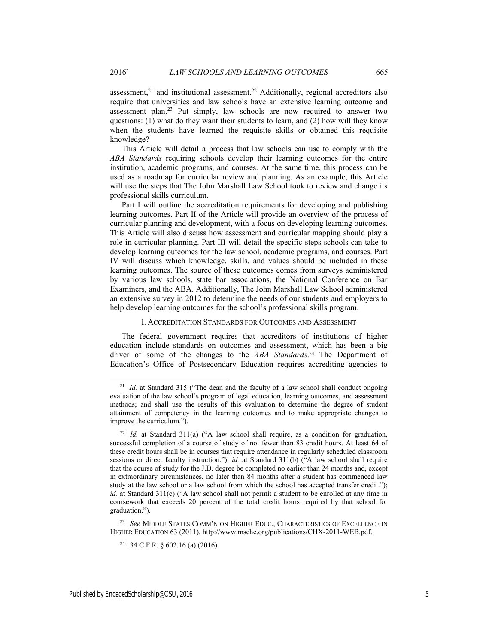assessment, $21$  and institutional assessment. $22$  Additionally, regional accreditors also require that universities and law schools have an extensive learning outcome and assessment plan.23 Put simply, law schools are now required to answer two questions: (1) what do they want their students to learn, and (2) how will they know when the students have learned the requisite skills or obtained this requisite knowledge?

This Article will detail a process that law schools can use to comply with the *ABA Standards* requiring schools develop their learning outcomes for the entire institution, academic programs, and courses. At the same time, this process can be used as a roadmap for curricular review and planning. As an example, this Article will use the steps that The John Marshall Law School took to review and change its professional skills curriculum.

Part I will outline the accreditation requirements for developing and publishing learning outcomes. Part II of the Article will provide an overview of the process of curricular planning and development, with a focus on developing learning outcomes. This Article will also discuss how assessment and curricular mapping should play a role in curricular planning. Part III will detail the specific steps schools can take to develop learning outcomes for the law school, academic programs, and courses. Part IV will discuss which knowledge, skills, and values should be included in these learning outcomes. The source of these outcomes comes from surveys administered by various law schools, state bar associations, the National Conference on Bar Examiners, and the ABA. Additionally, The John Marshall Law School administered an extensive survey in 2012 to determine the needs of our students and employers to help develop learning outcomes for the school's professional skills program.

#### I. ACCREDITATION STANDARDS FOR OUTCOMES AND ASSESSMENT

The federal government requires that accreditors of institutions of higher education include standards on outcomes and assessment, which has been a big driver of some of the changes to the *ABA Standards*. 24 The Department of Education's Office of Postsecondary Education requires accrediting agencies to

23 *See* MIDDLE STATES COMM'N ON HIGHER EDUC., CHARACTERISTICS OF EXCELLENCE IN HIGHER EDUCATION 63 (2011), http://www.msche.org/publications/CHX-2011-WEB.pdf.

-

<sup>&</sup>lt;sup>21</sup> *Id.* at Standard 315 ("The dean and the faculty of a law school shall conduct ongoing evaluation of the law school's program of legal education, learning outcomes, and assessment methods; and shall use the results of this evaluation to determine the degree of student attainment of competency in the learning outcomes and to make appropriate changes to improve the curriculum.").

<sup>&</sup>lt;sup>22</sup> *Id.* at Standard 311(a) ("A law school shall require, as a condition for graduation, successful completion of a course of study of not fewer than 83 credit hours. At least 64 of these credit hours shall be in courses that require attendance in regularly scheduled classroom sessions or direct faculty instruction."); *id.* at Standard 311(b) ("A law school shall require that the course of study for the J.D. degree be completed no earlier than 24 months and, except in extraordinary circumstances, no later than 84 months after a student has commenced law study at the law school or a law school from which the school has accepted transfer credit."); *id.* at Standard 311(c) ("A law school shall not permit a student to be enrolled at any time in coursework that exceeds 20 percent of the total credit hours required by that school for graduation.").

<sup>&</sup>lt;sup>24</sup> 34 C.F.R. § 602.16 (a) (2016).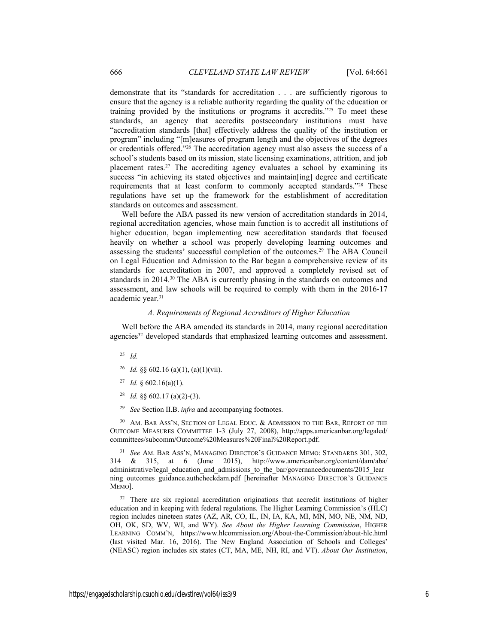demonstrate that its "standards for accreditation . . . are sufficiently rigorous to ensure that the agency is a reliable authority regarding the quality of the education or training provided by the institutions or programs it accredits."25 To meet these standards, an agency that accredits postsecondary institutions must have "accreditation standards [that] effectively address the quality of the institution or program" including "[m]easures of program length and the objectives of the degrees or credentials offered."26 The accreditation agency must also assess the success of a school's students based on its mission, state licensing examinations, attrition, and job placement rates.<sup>27</sup> The accrediting agency evaluates a school by examining its success "in achieving its stated objectives and maintain[ing] degree and certificate requirements that at least conform to commonly accepted standards."28 These regulations have set up the framework for the establishment of accreditation standards on outcomes and assessment.

Well before the ABA passed its new version of accreditation standards in 2014, regional accreditation agencies, whose main function is to accredit all institutions of higher education, began implementing new accreditation standards that focused heavily on whether a school was properly developing learning outcomes and assessing the students' successful completion of the outcomes.29 The ABA Council on Legal Education and Admission to the Bar began a comprehensive review of its standards for accreditation in 2007, and approved a completely revised set of standards in 2014.30 The ABA is currently phasing in the standards on outcomes and assessment, and law schools will be required to comply with them in the 2016-17 academic year.<sup>31</sup>

#### *A. Requirements of Regional Accreditors of Higher Education*

Well before the ABA amended its standards in 2014, many regional accreditation agencies<sup>32</sup> developed standards that emphasized learning outcomes and assessment.

25 *Id.*

- <sup>26</sup> *Id.* §§ 602.16 (a)(1), (a)(1)(vii).
- 27 *Id.* § 602.16(a)(1).
- <sup>28</sup> *Id.*  $\frac{8}{5}$  602.17 (a)(2)-(3).
- 29 *See* Section II.B. *infra* and accompanying footnotes.

<sup>30</sup> AM. BAR ASS'N, SECTION OF LEGAL EDUC. & ADMISSION TO THE BAR, REPORT OF THE OUTCOME MEASURES COMMITTEE 1-3 (July 27, 2008), http://apps.americanbar.org/legaled/ committees/subcomm/Outcome%20Measures%20Final%20Report.pdf.

31 *See* AM. BAR ASS'N, MANAGING DIRECTOR'S GUIDANCE MEMO: STANDARDS 301, 302, 314 & 315, at 6 (June 2015), http://www.americanbar.org/content/dam/aba/ administrative/legal\_education\_and\_admissions\_to\_the\_bar/governancedocuments/2015\_lear ning outcomes guidance.authcheckdam.pdf [hereinafter MANAGING DIRECTOR'S GUIDANCE MEMO].

<sup>32</sup> There are six regional accreditation originations that accredit institutions of higher education and in keeping with federal regulations. The Higher Learning Commission's (HLC) region includes nineteen states (AZ, AR, CO, IL, IN, IA, KA, MI, MN, MO, NE, NM, ND, OH, OK, SD, WV, WI, and WY). *See About the Higher Learning Commission*, HIGHER LEARNING COMM'N, https://www.hlcommission.org/About-the-Commission/about-hlc.html (last visited Mar. 16, 2016). The New England Association of Schools and Colleges' (NEASC) region includes six states (CT, MA, ME, NH, RI, and VT). *About Our Institution*,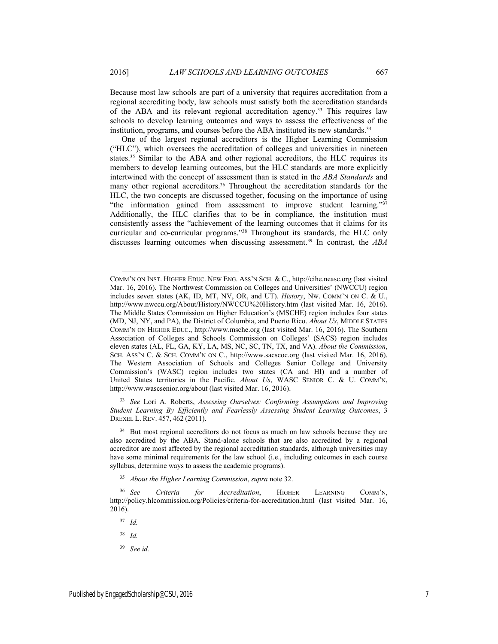$\overline{a}$ 

Because most law schools are part of a university that requires accreditation from a regional accrediting body, law schools must satisfy both the accreditation standards of the ABA and its relevant regional accreditation agency.33 This requires law schools to develop learning outcomes and ways to assess the effectiveness of the institution, programs, and courses before the ABA instituted its new standards.<sup>34</sup>

One of the largest regional accreditors is the Higher Learning Commission ("HLC"), which oversees the accreditation of colleges and universities in nineteen states.35 Similar to the ABA and other regional accreditors, the HLC requires its members to develop learning outcomes, but the HLC standards are more explicitly intertwined with the concept of assessment than is stated in the *ABA Standards* and many other regional accreditors.<sup>36</sup> Throughout the accreditation standards for the HLC, the two concepts are discussed together, focusing on the importance of using "the information gained from assessment to improve student learning."37 Additionally, the HLC clarifies that to be in compliance, the institution must consistently assess the "achievement of the learning outcomes that it claims for its curricular and co-curricular programs."38 Throughout its standards, the HLC only discusses learning outcomes when discussing assessment.39 In contrast, the *ABA* 

33 *See* Lori A. Roberts, *Assessing Ourselves: Confirming Assumptions and Improving Student Learning By Efficiently and Fearlessly Assessing Student Learning Outcomes*, 3 DREXEL L. REV. 457, 462 (2011).

<sup>34</sup> But most regional accreditors do not focus as much on law schools because they are also accredited by the ABA. Stand-alone schools that are also accredited by a regional accreditor are most affected by the regional accreditation standards, although universities may have some minimal requirements for the law school (i.e., including outcomes in each course syllabus, determine ways to assess the academic programs).

35 *About the Higher Learning Commission*, *supra* note 32.

39 *See id.* 

COMM'N ON INST. HIGHER EDUC. NEW ENG. ASS'N SCH. & C., http://cihe.neasc.org (last visited Mar. 16, 2016). The Northwest Commission on Colleges and Universities' (NWCCU) region includes seven states (AK, ID, MT, NV, OR, and UT). *History*, NW. COMM'N ON C. & U., http://www.nwccu.org/About/History/NWCCU%20History.htm (last visited Mar. 16, 2016). The Middle States Commission on Higher Education's (MSCHE) region includes four states (MD, NJ, NY, and PA), the District of Columbia, and Puerto Rico. *About Us*, MIDDLE STATES COMM'N ON HIGHER EDUC., http://www.msche.org (last visited Mar. 16, 2016). The Southern Association of Colleges and Schools Commission on Colleges' (SACS) region includes eleven states (AL, FL, GA, KY, LA, MS, NC, SC, TN, TX, and VA). *About the Commission*, SCH. ASS'N C. & SCH. COMM'N ON C., http://www.sacscoc.org (last visited Mar. 16, 2016). The Western Association of Schools and Colleges Senior College and University Commission's (WASC) region includes two states (CA and HI) and a number of United States territories in the Pacific. *About Us*, WASC SENIOR C. & U. COMM'N, http://www.wascsenior.org/about (last visited Mar. 16, 2016).

<sup>36</sup> *See Criteria for Accreditation*, HIGHER LEARNING COMM'N, http://policy.hlcommission.org/Policies/criteria-for-accreditation.html (last visited Mar. 16, 2016).

<sup>37</sup> *Id.* 

<sup>38</sup> *Id.*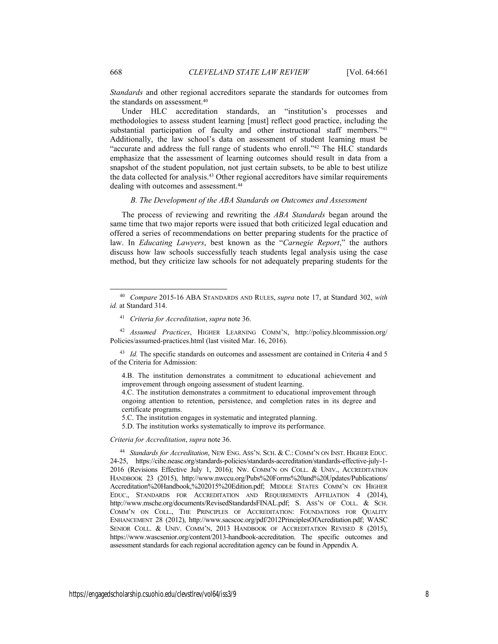*Standards* and other regional accreditors separate the standards for outcomes from the standards on assessment.<sup>40</sup>

Under HLC accreditation standards, an "institution's processes and methodologies to assess student learning [must] reflect good practice, including the substantial participation of faculty and other instructional staff members."41 Additionally, the law school's data on assessment of student learning must be "accurate and address the full range of students who enroll."42 The HLC standards emphasize that the assessment of learning outcomes should result in data from a snapshot of the student population, not just certain subsets, to be able to best utilize the data collected for analysis.43 Other regional accreditors have similar requirements dealing with outcomes and assessment.<sup>44</sup>

#### *B. The Development of the ABA Standards on Outcomes and Assessment*

The process of reviewing and rewriting the *ABA Standards* began around the same time that two major reports were issued that both criticized legal education and offered a series of recommendations on better preparing students for the practice of law. In *Educating Lawyers*, best known as the "*Carnegie Report*," the authors discuss how law schools successfully teach students legal analysis using the case method, but they criticize law schools for not adequately preparing students for the

42 *Assumed Practices*, HIGHER LEARNING COMM'N, http://policy.hlcommission.org/ Policies/assumed-practices.html (last visited Mar. 16, 2016).

43 *Id.* The specific standards on outcomes and assessment are contained in Criteria 4 and 5 of the Criteria for Admission:

4.B. The institution demonstrates a commitment to educational achievement and improvement through ongoing assessment of student learning.

4.C. The institution demonstrates a commitment to educational improvement through ongoing attention to retention, persistence, and completion rates in its degree and certificate programs.

5.C. The institution engages in systematic and integrated planning.

5.D. The institution works systematically to improve its performance.

*Criteria for Accreditation*, *supra* note 36.

44 *Standards for Accreditation*, NEW ENG. ASS'N. SCH. & C.: COMM'N ON INST. HIGHER EDUC. 24-25, https://cihe.neasc.org/standards-policies/standards-accreditation/standards-effective-july-1- 2016 (Revisions Effective July 1, 2016); NW. COMM'N ON COLL. & UNIV., ACCREDITATION HANDBOOK 23 (2015), http://www.nwccu.org/Pubs%20Forms%20and%20Updates/Publications/ Accreditation%20Handbook,%202015%20Edition.pdf; MIDDLE STATES COMM'N ON HIGHER EDUC., STANDARDS FOR ACCREDITATION AND REQUIREMENTS AFFILIATION 4 (2014), http://www.msche.org/documents/RevisedStandardsFINAL.pdf; S. ASS'N OF COLL. & SCH. COMM'N ON COLL., THE PRINCIPLES OF ACCREDITATION: FOUNDATIONS FOR QUALITY ENHANCEMENT 28 (2012), http://www.sacscoc.org/pdf/2012PrinciplesOfAcreditation.pdf; WASC SENIOR COLL. & UNIV. COMM'N, 2013 HANDBOOK OF ACCREDITATION REVISED 8 (2015), https://www.wascsenior.org/content/2013-handbook-accreditation. The specific outcomes and assessment standards for each regional accreditation agency can be found in Appendix A.

 <sup>40</sup> *Compare* 2015-16 ABA STANDARDS AND RULES, *supra* note 17, at Standard 302, *with id.* at Standard 314.

<sup>41</sup> *Criteria for Accreditation*, *supra* note 36.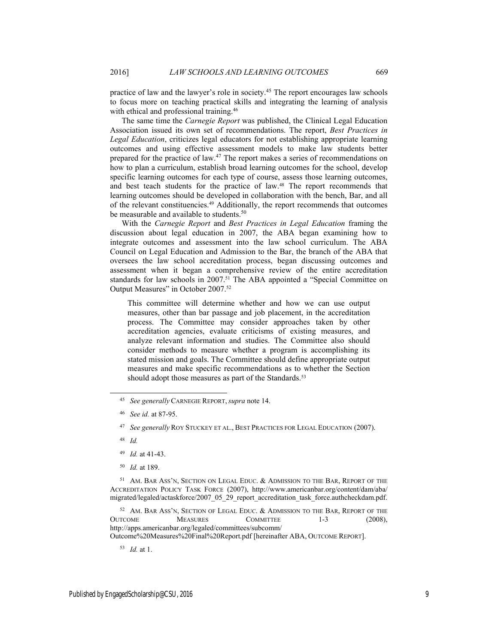practice of law and the lawyer's role in society.45 The report encourages law schools to focus more on teaching practical skills and integrating the learning of analysis with ethical and professional training.<sup>46</sup>

The same time the *Carnegie Report* was published, the Clinical Legal Education Association issued its own set of recommendations. The report, *Best Practices in Legal Education*, criticizes legal educators for not establishing appropriate learning outcomes and using effective assessment models to make law students better prepared for the practice of law.47 The report makes a series of recommendations on how to plan a curriculum, establish broad learning outcomes for the school, develop specific learning outcomes for each type of course, assess those learning outcomes, and best teach students for the practice of law.<sup>48</sup> The report recommends that learning outcomes should be developed in collaboration with the bench, Bar, and all of the relevant constituencies.49 Additionally, the report recommends that outcomes be measurable and available to students.<sup>50</sup>

With the *Carnegie Report* and *Best Practices in Legal Education* framing the discussion about legal education in 2007, the ABA began examining how to integrate outcomes and assessment into the law school curriculum. The ABA Council on Legal Education and Admission to the Bar, the branch of the ABA that oversees the law school accreditation process, began discussing outcomes and assessment when it began a comprehensive review of the entire accreditation standards for law schools in 2007.<sup>51</sup> The ABA appointed a "Special Committee on Output Measures" in October 2007.52

This committee will determine whether and how we can use output measures, other than bar passage and job placement, in the accreditation process. The Committee may consider approaches taken by other accreditation agencies, evaluate criticisms of existing measures, and analyze relevant information and studies. The Committee also should consider methods to measure whether a program is accomplishing its stated mission and goals. The Committee should define appropriate output measures and make specific recommendations as to whether the Section should adopt those measures as part of the Standards.<sup>53</sup>

- 49 *Id.* at 41-43.
- 50 *Id.* at 189.

<sup>51</sup> AM. BAR ASS'N, SECTION ON LEGAL EDUC. & ADMISSION TO THE BAR, REPORT OF THE ACCREDITATION POLICY TASK FORCE (2007), http://www.americanbar.org/content/dam/aba/ migrated/legaled/actaskforce/2007\_05\_29\_report\_accreditation\_task\_force.authcheckdam.pdf.

52 AM. BAR ASS'N, SECTION OF LEGAL EDUC. & ADMISSION TO THE BAR, REPORT OF THE OUTCOME MEASURES COMMITTEE 1-3 (2008), http://apps.americanbar.org/legaled/committees/subcomm/ Outcome%20Measures%20Final%20Report.pdf [hereinafter ABA, OUTCOME REPORT].

53 *Id.* at 1.

 <sup>45</sup> *See generally* CARNEGIE REPORT, *supra* note 14.

<sup>46</sup> *See id.* at 87-95.

<sup>47</sup> *See generally* ROY STUCKEY ET AL., BEST PRACTICES FOR LEGAL EDUCATION (2007).

<sup>48</sup> *Id.*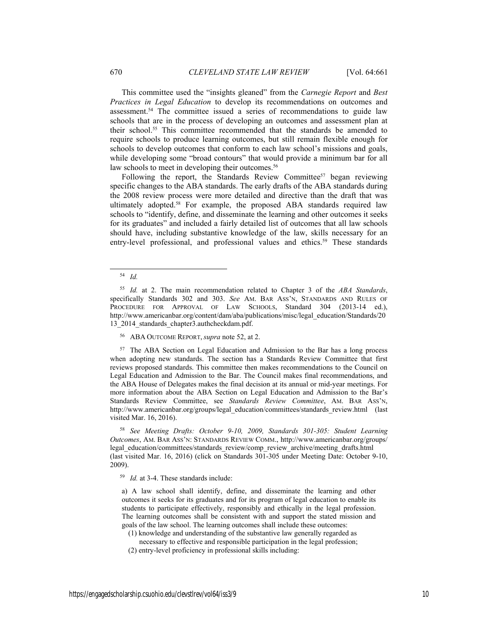This committee used the "insights gleaned" from the *Carnegie Report* and *Best Practices in Legal Education* to develop its recommendations on outcomes and assessment.54 The committee issued a series of recommendations to guide law schools that are in the process of developing an outcomes and assessment plan at their school.55 This committee recommended that the standards be amended to require schools to produce learning outcomes, but still remain flexible enough for schools to develop outcomes that conform to each law school's missions and goals, while developing some "broad contours" that would provide a minimum bar for all law schools to meet in developing their outcomes.<sup>56</sup>

Following the report, the Standards Review Committee<sup>57</sup> began reviewing specific changes to the ABA standards. The early drafts of the ABA standards during the 2008 review process were more detailed and directive than the draft that was ultimately adopted.58 For example, the proposed ABA standards required law schools to "identify, define, and disseminate the learning and other outcomes it seeks for its graduates" and included a fairly detailed list of outcomes that all law schools should have, including substantive knowledge of the law, skills necessary for an entry-level professional, and professional values and ethics.<sup>59</sup> These standards

56 ABA OUTCOME REPORT, *supra* note 52, at 2.

<sup>57</sup> The ABA Section on Legal Education and Admission to the Bar has a long process when adopting new standards. The section has a Standards Review Committee that first reviews proposed standards. This committee then makes recommendations to the Council on Legal Education and Admission to the Bar. The Council makes final recommendations, and the ABA House of Delegates makes the final decision at its annual or mid-year meetings. For more information about the ABA Section on Legal Education and Admission to the Bar's Standards Review Committee, see *Standards Review Committee*, AM. BAR ASS'N, http://www.americanbar.org/groups/legal\_education/committees/standards\_review.html (last visited Mar. 16, 2016).

58 *See Meeting Drafts: October 9-10, 2009, Standards 301-305: Student Learning Outcomes*, AM. BAR ASS'N: STANDARDS REVIEW COMM., http://www.americanbar.org/groups/ legal\_education/committees/standards\_review/comp\_review\_archive/meeting\_drafts.html (last visited Mar. 16, 2016) (click on Standards 301-305 under Meeting Date: October 9-10, 2009).

59 *Id.* at 3-4. These standards include:

a) A law school shall identify, define, and disseminate the learning and other outcomes it seeks for its graduates and for its program of legal education to enable its students to participate effectively, responsibly and ethically in the legal profession. The learning outcomes shall be consistent with and support the stated mission and goals of the law school. The learning outcomes shall include these outcomes:

- (1) knowledge and understanding of the substantive law generally regarded as
- necessary to effective and responsible participation in the legal profession;
- (2) entry-level proficiency in professional skills including:

 <sup>54</sup> *Id.* 

<sup>55</sup> *Id.* at 2. The main recommendation related to Chapter 3 of the *ABA Standards*, specifically Standards 302 and 303. *See* AM. BAR ASS'N, STANDARDS AND RULES OF PROCEDURE FOR APPROVAL OF LAW SCHOOLS, Standard 304 (2013-14 ed.), http://www.americanbar.org/content/dam/aba/publications/misc/legal\_education/Standards/20 13 2014 standards chapter3.authcheckdam.pdf.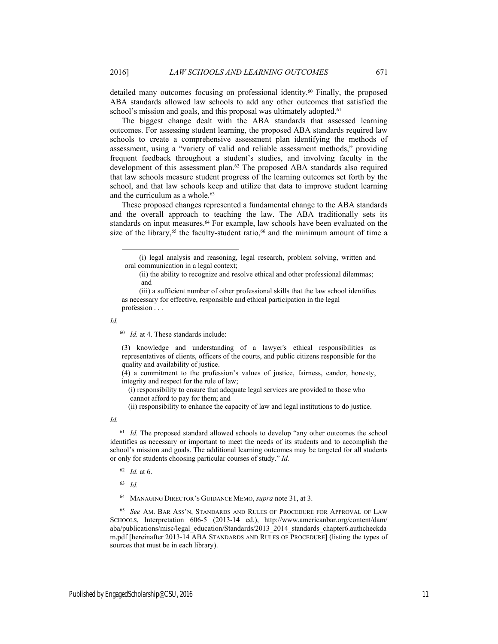detailed many outcomes focusing on professional identity.<sup>60</sup> Finally, the proposed ABA standards allowed law schools to add any other outcomes that satisfied the school's mission and goals, and this proposal was ultimately adopted.<sup>61</sup>

The biggest change dealt with the ABA standards that assessed learning outcomes. For assessing student learning, the proposed ABA standards required law schools to create a comprehensive assessment plan identifying the methods of assessment, using a "variety of valid and reliable assessment methods," providing frequent feedback throughout a student's studies, and involving faculty in the development of this assessment plan.62 The proposed ABA standards also required that law schools measure student progress of the learning outcomes set forth by the school, and that law schools keep and utilize that data to improve student learning and the curriculum as a whole.<sup>63</sup>

These proposed changes represented a fundamental change to the ABA standards and the overall approach to teaching the law. The ABA traditionally sets its standards on input measures.<sup>64</sup> For example, law schools have been evaluated on the size of the library,<sup>65</sup> the faculty-student ratio,<sup>66</sup> and the minimum amount of time a

*Id.* 

 $\overline{a}$ 

60 *Id.* at 4. These standards include:

(3) knowledge and understanding of a lawyer's ethical responsibilities as representatives of clients, officers of the courts, and public citizens responsible for the quality and availability of justice.

(4) a commitment to the profession's values of justice, fairness, candor, honesty, integrity and respect for the rule of law;

 (i) responsibility to ensure that adequate legal services are provided to those who cannot afford to pay for them; and

(ii) responsibility to enhance the capacity of law and legal institutions to do justice.

*Id.*

<sup>61</sup> *Id.* The proposed standard allowed schools to develop "any other outcomes the school identifies as necessary or important to meet the needs of its students and to accomplish the school's mission and goals. The additional learning outcomes may be targeted for all students or only for students choosing particular courses of study." *Id.*

62 *Id.* at 6.

63 *Id.*

64 MANAGING DIRECTOR'S GUIDANCE MEMO, *supra* note 31, at 3.

65 *See* AM. BAR ASS'N, STANDARDS AND RULES OF PROCEDURE FOR APPROVAL OF LAW SCHOOLS, Interpretation 606-5 (2013-14 ed.), http://www.americanbar.org/content/dam/ aba/publications/misc/legal\_education/Standards/2013\_2014\_standards\_chapter6.authcheckda m.pdf [hereinafter 2013-14 ABA STANDARDS AND RULES OF PROCEDURE] (listing the types of sources that must be in each library).

 <sup>(</sup>i) legal analysis and reasoning, legal research, problem solving, written and oral communication in a legal context;

 <sup>(</sup>ii) the ability to recognize and resolve ethical and other professional dilemmas; and

 <sup>(</sup>iii) a sufficient number of other professional skills that the law school identifies as necessary for effective, responsible and ethical participation in the legal profession . . .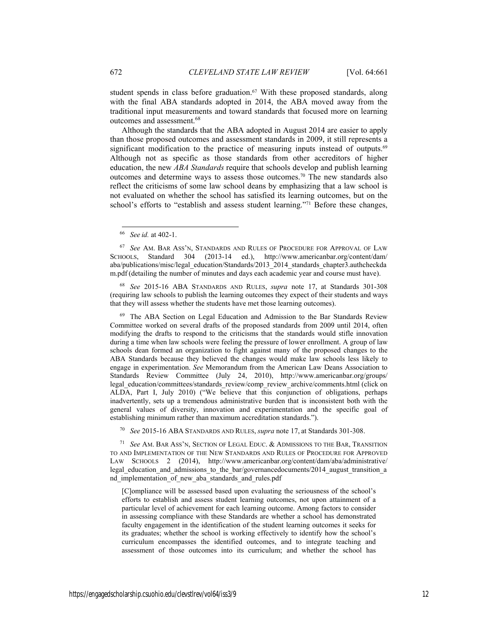student spends in class before graduation. $67$  With these proposed standards, along with the final ABA standards adopted in 2014, the ABA moved away from the traditional input measurements and toward standards that focused more on learning outcomes and assessment.<sup>68</sup>

Although the standards that the ABA adopted in August 2014 are easier to apply than those proposed outcomes and assessment standards in 2009, it still represents a significant modification to the practice of measuring inputs instead of outputs.<sup>69</sup> Although not as specific as those standards from other accreditors of higher education, the new *ABA Standards* require that schools develop and publish learning outcomes and determine ways to assess those outcomes.70 The new standards also reflect the criticisms of some law school deans by emphasizing that a law school is not evaluated on whether the school has satisfied its learning outcomes, but on the school's efforts to "establish and assess student learning."<sup>71</sup> Before these changes,

 $\overline{\phantom{a}}$ 

68 *See* 2015-16 ABA STANDARDS AND RULES, *supra* note 17, at Standards 301-308 (requiring law schools to publish the learning outcomes they expect of their students and ways that they will assess whether the students have met those learning outcomes).

69 The ABA Section on Legal Education and Admission to the Bar Standards Review Committee worked on several drafts of the proposed standards from 2009 until 2014, often modifying the drafts to respond to the criticisms that the standards would stifle innovation during a time when law schools were feeling the pressure of lower enrollment. A group of law schools dean formed an organization to fight against many of the proposed changes to the ABA Standards because they believed the changes would make law schools less likely to engage in experimentation. *See* Memorandum from the American Law Deans Association to Standards Review Committee (July 24, 2010), http://www.americanbar.org/groups/ legal\_education/committees/standards\_review/comp\_review\_archive/comments.html (click on ALDA, Part I, July 2010) ("We believe that this conjunction of obligations, perhaps inadvertently, sets up a tremendous administrative burden that is inconsistent both with the general values of diversity, innovation and experimentation and the specific goal of establishing minimum rather than maximum accreditation standards.").

70 *See* 2015-16 ABA STANDARDS AND RULES, *supra* note 17, at Standards 301-308.

71 *See* AM. BAR ASS'N, SECTION OF LEGAL EDUC. & ADMISSIONS TO THE BAR, TRANSITION TO AND IMPLEMENTATION OF THE NEW STANDARDS AND RULES OF PROCEDURE FOR APPROVED LAW SCHOOLS 2 (2014), http://www.americanbar.org/content/dam/aba/administrative/ legal\_education\_and\_admissions\_to\_the\_bar/governancedocuments/2014\_august\_transition\_a nd\_implementation\_of\_new\_aba\_standards\_and\_rules.pdf

[C]ompliance will be assessed based upon evaluating the seriousness of the school's efforts to establish and assess student learning outcomes, not upon attainment of a particular level of achievement for each learning outcome. Among factors to consider in assessing compliance with these Standards are whether a school has demonstrated faculty engagement in the identification of the student learning outcomes it seeks for its graduates; whether the school is working effectively to identify how the school's curriculum encompasses the identified outcomes, and to integrate teaching and assessment of those outcomes into its curriculum; and whether the school has

<sup>66</sup> *See id.* at 402-1.

<sup>67</sup> *See* AM. BAR ASS'N, STANDARDS AND RULES OF PROCEDURE FOR APPROVAL OF LAW SCHOOLS, Standard 304 (2013-14 ed.), http://www.americanbar.org/content/dam/ aba/publications/misc/legal\_education/Standards/2013\_2014\_standards\_chapter3.authcheckda m.pdf (detailing the number of minutes and days each academic year and course must have).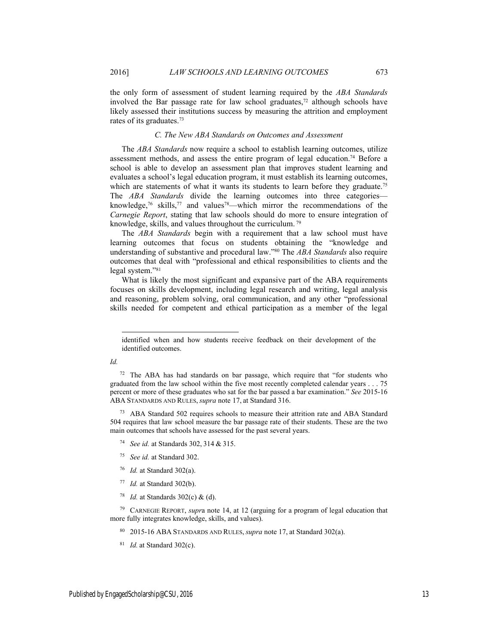the only form of assessment of student learning required by the *ABA Standards* involved the Bar passage rate for law school graduates, $72$  although schools have likely assessed their institutions success by measuring the attrition and employment rates of its graduates.73

#### *C. The New ABA Standards on Outcomes and Assessment*

The *ABA Standards* now require a school to establish learning outcomes, utilize assessment methods, and assess the entire program of legal education.<sup>74</sup> Before a school is able to develop an assessment plan that improves student learning and evaluates a school's legal education program, it must establish its learning outcomes, which are statements of what it wants its students to learn before they graduate.<sup>75</sup> The *ABA Standards* divide the learning outcomes into three categories knowledge,<sup>76</sup> skills,<sup>77</sup> and values<sup>78</sup>—which mirror the recommendations of the *Carnegie Report*, stating that law schools should do more to ensure integration of knowledge, skills, and values throughout the curriculum. 79

The *ABA Standards* begin with a requirement that a law school must have learning outcomes that focus on students obtaining the "knowledge and understanding of substantive and procedural law."80 The *ABA Standards* also require outcomes that deal with "professional and ethical responsibilities to clients and the legal system."<sup>81</sup>

What is likely the most significant and expansive part of the ABA requirements focuses on skills development, including legal research and writing, legal analysis and reasoning, problem solving, oral communication, and any other "professional skills needed for competent and ethical participation as a member of the legal

*Id.*

 $\overline{a}$ 

<sup>73</sup> ABA Standard 502 requires schools to measure their attrition rate and ABA Standard 504 requires that law school measure the bar passage rate of their students. These are the two main outcomes that schools have assessed for the past several years.

- 74 *See id.* at Standards 302, 314 & 315.
- 75 *See id.* at Standard 302.
- 76 *Id.* at Standard 302(a).

78 *Id.* at Standards 302(c) & (d).

79 CARNEGIE REPORT, *supr*a note 14, at 12 (arguing for a program of legal education that more fully integrates knowledge, skills, and values).

- 80 2015-16 ABA STANDARDS AND RULES, *supra* note 17, at Standard 302(a).
- 81 *Id.* at Standard 302(c).

identified when and how students receive feedback on their development of the identified outcomes.

<sup>72</sup> The ABA has had standards on bar passage, which require that "for students who graduated from the law school within the five most recently completed calendar years . . . 75 percent or more of these graduates who sat for the bar passed a bar examination." *See* 2015-16 ABA STANDARDS AND RULES, *supra* note 17, at Standard 316.

<sup>77</sup> *Id.* at Standard 302(b).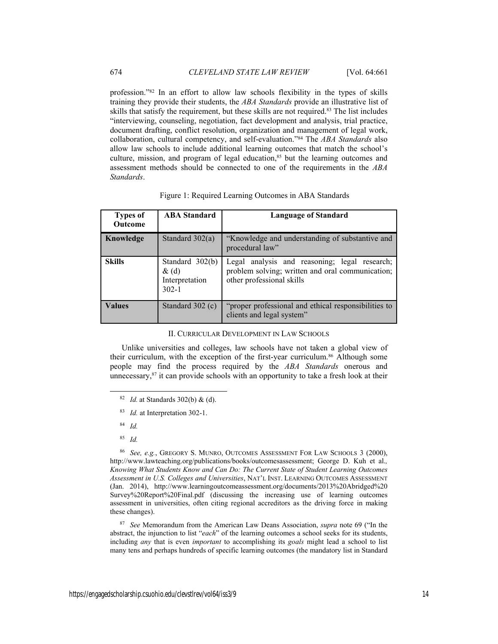profession."82 In an effort to allow law schools flexibility in the types of skills training they provide their students, the *ABA Standards* provide an illustrative list of skills that satisfy the requirement, but these skills are not required.<sup>83</sup> The list includes "interviewing, counseling, negotiation, fact development and analysis, trial practice, document drafting, conflict resolution, organization and management of legal work, collaboration, cultural competency, and self-evaluation."84 The *ABA Standards* also allow law schools to include additional learning outcomes that match the school's culture, mission, and program of legal education,<sup>85</sup> but the learning outcomes and assessment methods should be connected to one of the requirements in the *ABA Standards*.

| Types of<br><b>Outcome</b> | <b>ABA Standard</b>                                          | <b>Language of Standard</b>                                                                                                    |
|----------------------------|--------------------------------------------------------------|--------------------------------------------------------------------------------------------------------------------------------|
| Knowledge                  | Standard $302(a)$                                            | "Knowledge and understanding of substantive and<br>procedural law"                                                             |
| <b>Skills</b>              | Standard $302(b)$<br>$\&$ (d)<br>Interpretation<br>$302 - 1$ | Legal analysis and reasoning; legal research;<br>problem solving; written and oral communication;<br>other professional skills |
| <b>Values</b>              | Standard 302 (c)                                             | "proper professional and ethical responsibilities to<br>clients and legal system"                                              |

Figure 1: Required Learning Outcomes in ABA Standards

II. CURRICULAR DEVELOPMENT IN LAW SCHOOLS

Unlike universities and colleges, law schools have not taken a global view of their curriculum, with the exception of the first-year curriculum.<sup>86</sup> Although some people may find the process required by the *ABA Standards* onerous and unnecessary, $87$  it can provide schools with an opportunity to take a fresh look at their

- 84 *Id.*
- 85 *Id.*

86 *See, e.g.*, GREGORY S. MUNRO, OUTCOMES ASSESSMENT FOR LAW SCHOOLS 3 (2000), http://www.lawteaching.org/publications/books/outcomesassessment; George D. Kuh et al.*, Knowing What Students Know and Can Do: The Current State of Student Learning Outcomes Assessment in U.S. Colleges and Universities*, NAT'L INST. LEARNING OUTCOMES ASSESSMENT (Jan. 2014), http://www.learningoutcomeassessment.org/documents/2013%20Abridged%20 Survey%20Report%20Final.pdf (discussing the increasing use of learning outcomes assessment in universities, often citing regional accreditors as the driving force in making these changes).

87 *See* Memorandum from the American Law Deans Association, *supra* note 69 ("In the abstract, the injunction to list "*each*" of the learning outcomes a school seeks for its students, including *any* that is even *important* to accomplishing its *goals* might lead a school to list many tens and perhaps hundreds of specific learning outcomes (the mandatory list in Standard

 <sup>82</sup> *Id.* at Standards 302(b) & (d).

<sup>83</sup> *Id.* at Interpretation 302-1.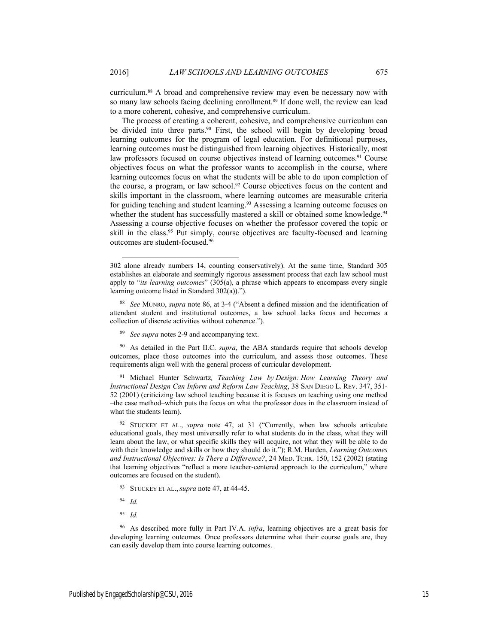$\overline{a}$ 

curriculum.88 A broad and comprehensive review may even be necessary now with so many law schools facing declining enrollment.<sup>89</sup> If done well, the review can lead to a more coherent, cohesive, and comprehensive curriculum.

The process of creating a coherent, cohesive, and comprehensive curriculum can be divided into three parts.<sup>90</sup> First, the school will begin by developing broad learning outcomes for the program of legal education. For definitional purposes, learning outcomes must be distinguished from learning objectives. Historically, most law professors focused on course objectives instead of learning outcomes.<sup>91</sup> Course objectives focus on what the professor wants to accomplish in the course, where learning outcomes focus on what the students will be able to do upon completion of the course, a program, or law school.<sup>92</sup> Course objectives focus on the content and skills important in the classroom, where learning outcomes are measurable criteria for guiding teaching and student learning.<sup>93</sup> Assessing a learning outcome focuses on whether the student has successfully mastered a skill or obtained some knowledge.<sup>94</sup> Assessing a course objective focuses on whether the professor covered the topic or skill in the class.<sup>95</sup> Put simply, course objectives are faculty-focused and learning outcomes are student-focused.96

89 *See supra* notes 2-9 and accompanying text.

90 As detailed in the Part II.C. *supra*, the ABA standards require that schools develop outcomes, place those outcomes into the curriculum, and assess those outcomes. These requirements align well with the general process of curricular development.

91 Michael Hunter Schwartz*, Teaching Law by Design: How Learning Theory and Instructional Design Can Inform and Reform Law Teaching*, 38 SAN DIEGO L. REV. 347, 351- 52 (2001) (criticizing law school teaching because it is focuses on teaching using one method –the case method–which puts the focus on what the professor does in the classroom instead of what the students learn).

92 STUCKEY ET AL., *supra* note 47, at 31 ("Currently, when law schools articulate educational goals, they most universally refer to what students do in the class, what they will learn about the law, or what specific skills they will acquire, not what they will be able to do with their knowledge and skills or how they should do it."); R.M. Harden, *Learning Outcomes and Instructional Objectives: Is There a Difference?*, 24 MED. TCHR. 150, 152 (2002) (stating that learning objectives "reflect a more teacher-centered approach to the curriculum," where outcomes are focused on the student).

- 93 STUCKEY ET AL., *supra* note 47, at 44-45.
- 94 *Id.*
- 95 *Id.*

96 As described more fully in Part IV.A. *infra*, learning objectives are a great basis for developing learning outcomes. Once professors determine what their course goals are, they can easily develop them into course learning outcomes.

<sup>302</sup> alone already numbers 14, counting conservatively). At the same time, Standard 305 establishes an elaborate and seemingly rigorous assessment process that each law school must apply to "*its learning outcomes*" (305(a), a phrase which appears to encompass every single learning outcome listed in Standard 302(a)).").

<sup>88</sup> *See* MUNRO, *supra* note 86, at 3-4 ("Absent a defined mission and the identification of attendant student and institutional outcomes, a law school lacks focus and becomes a collection of discrete activities without coherence.").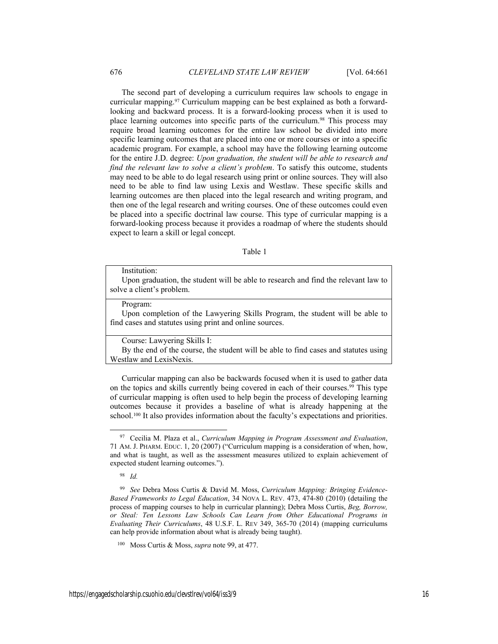The second part of developing a curriculum requires law schools to engage in curricular mapping.97 Curriculum mapping can be best explained as both a forwardlooking and backward process. It is a forward-looking process when it is used to place learning outcomes into specific parts of the curriculum.98 This process may require broad learning outcomes for the entire law school be divided into more specific learning outcomes that are placed into one or more courses or into a specific academic program. For example, a school may have the following learning outcome for the entire J.D. degree: *Upon graduation, the student will be able to research and find the relevant law to solve a client's problem*. To satisfy this outcome, students may need to be able to do legal research using print or online sources. They will also need to be able to find law using Lexis and Westlaw. These specific skills and learning outcomes are then placed into the legal research and writing program, and then one of the legal research and writing courses. One of these outcomes could even be placed into a specific doctrinal law course. This type of curricular mapping is a forward-looking process because it provides a roadmap of where the students should expect to learn a skill or legal concept.

Table 1

#### Institution:

Upon graduation, the student will be able to research and find the relevant law to solve a client's problem.

#### Program:

Upon completion of the Lawyering Skills Program, the student will be able to find cases and statutes using print and online sources.

Course: Lawyering Skills I:

By the end of the course, the student will be able to find cases and statutes using Westlaw and LexisNexis.

Curricular mapping can also be backwards focused when it is used to gather data on the topics and skills currently being covered in each of their courses.<sup>99</sup> This type of curricular mapping is often used to help begin the process of developing learning outcomes because it provides a baseline of what is already happening at the school.<sup>100</sup> It also provides information about the faculty's expectations and priorities.

98 *Id.*

 <sup>97</sup> Cecilia M. Plaza et al., *Curriculum Mapping in Program Assessment and Evaluation*, 71 AM. J. PHARM. EDUC. 1, 20 (2007) ("Curriculum mapping is a consideration of when, how, and what is taught, as well as the assessment measures utilized to explain achievement of expected student learning outcomes.").

<sup>99</sup> *See* Debra Moss Curtis & David M. Moss, *Curriculum Mapping: Bringing Evidence-Based Frameworks to Legal Education*, 34 NOVA L. REV. 473, 474-80 (2010) (detailing the process of mapping courses to help in curricular planning); Debra Moss Curtis, *Beg, Borrow, or Steal: Ten Lessons Law Schools Can Learn from Other Educational Programs in Evaluating Their Curriculums*, 48 U.S.F. L. REV 349, 365-70 (2014) (mapping curriculums can help provide information about what is already being taught).

<sup>100</sup> Moss Curtis & Moss, *supra* note 99, at 477.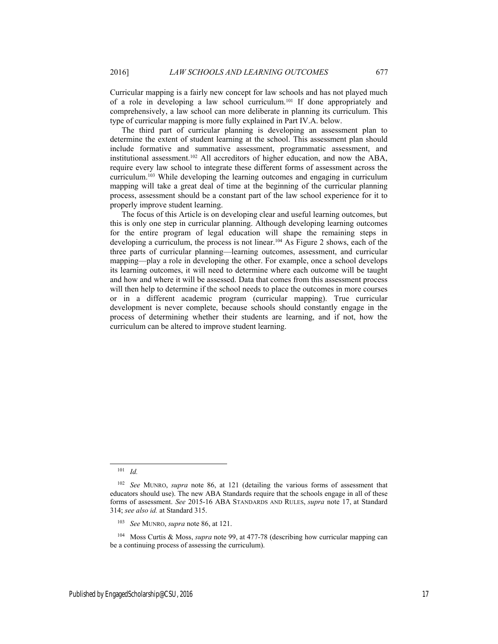Curricular mapping is a fairly new concept for law schools and has not played much of a role in developing a law school curriculum.101 If done appropriately and comprehensively, a law school can more deliberate in planning its curriculum. This type of curricular mapping is more fully explained in Part IV.A. below.

The third part of curricular planning is developing an assessment plan to determine the extent of student learning at the school. This assessment plan should include formative and summative assessment, programmatic assessment, and institutional assessment.102 All accreditors of higher education, and now the ABA, require every law school to integrate these different forms of assessment across the curriculum.103 While developing the learning outcomes and engaging in curriculum mapping will take a great deal of time at the beginning of the curricular planning process, assessment should be a constant part of the law school experience for it to properly improve student learning.

The focus of this Article is on developing clear and useful learning outcomes, but this is only one step in curricular planning. Although developing learning outcomes for the entire program of legal education will shape the remaining steps in developing a curriculum, the process is not linear.<sup>104</sup> As Figure 2 shows, each of the three parts of curricular planning—learning outcomes, assessment, and curricular mapping—play a role in developing the other. For example, once a school develops its learning outcomes, it will need to determine where each outcome will be taught and how and where it will be assessed. Data that comes from this assessment process will then help to determine if the school needs to place the outcomes in more courses or in a different academic program (curricular mapping). True curricular development is never complete, because schools should constantly engage in the process of determining whether their students are learning, and if not, how the curriculum can be altered to improve student learning.

 <sup>101</sup> *Id.*

<sup>102</sup> *See* MUNRO, *supra* note 86, at 121 (detailing the various forms of assessment that educators should use). The new ABA Standards require that the schools engage in all of these forms of assessment. *See* 2015-16 ABA STANDARDS AND RULES, *supra* note 17, at Standard 314; *see also id.* at Standard 315.

<sup>103</sup> *See* MUNRO, *supra* note 86, at 121.

<sup>104</sup> Moss Curtis & Moss, *supra* note 99, at 477-78 (describing how curricular mapping can be a continuing process of assessing the curriculum).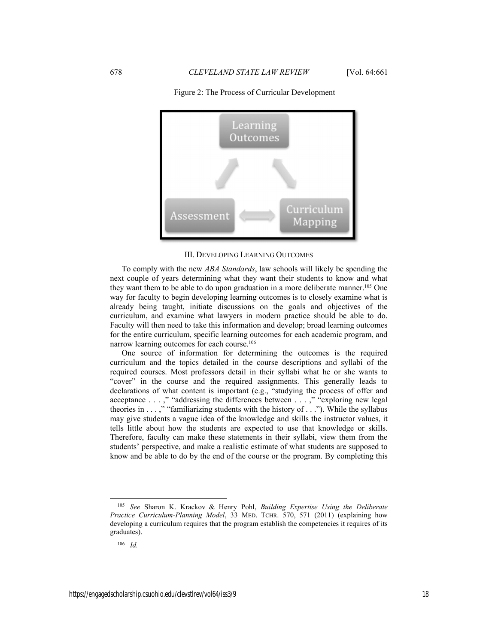

# Figure 2: The Process of Curricular Development

III. DEVELOPING LEARNING OUTCOMES

To comply with the new *ABA Standards*, law schools will likely be spending the next couple of years determining what they want their students to know and what they want them to be able to do upon graduation in a more deliberate manner.<sup>105</sup> One way for faculty to begin developing learning outcomes is to closely examine what is already being taught, initiate discussions on the goals and objectives of the curriculum, and examine what lawyers in modern practice should be able to do. Faculty will then need to take this information and develop; broad learning outcomes for the entire curriculum, specific learning outcomes for each academic program, and narrow learning outcomes for each course.<sup>106</sup>

One source of information for determining the outcomes is the required curriculum and the topics detailed in the course descriptions and syllabi of the required courses. Most professors detail in their syllabi what he or she wants to "cover" in the course and the required assignments. This generally leads to declarations of what content is important (e.g., "studying the process of offer and acceptance . . . ," "addressing the differences between . . . ," "exploring new legal theories in . . . ," "familiarizing students with the history of . . ."). While the syllabus may give students a vague idea of the knowledge and skills the instructor values, it tells little about how the students are expected to use that knowledge or skills. Therefore, faculty can make these statements in their syllabi, view them from the students' perspective, and make a realistic estimate of what students are supposed to know and be able to do by the end of the course or the program. By completing this

 <sup>105</sup> *See* Sharon K. Krackov & Henry Pohl, *Building Expertise Using the Deliberate Practice Curriculum-Planning Model*, 33 MED. TCHR. 570, 571 (2011) (explaining how developing a curriculum requires that the program establish the competencies it requires of its graduates).

<sup>106</sup> *Id.*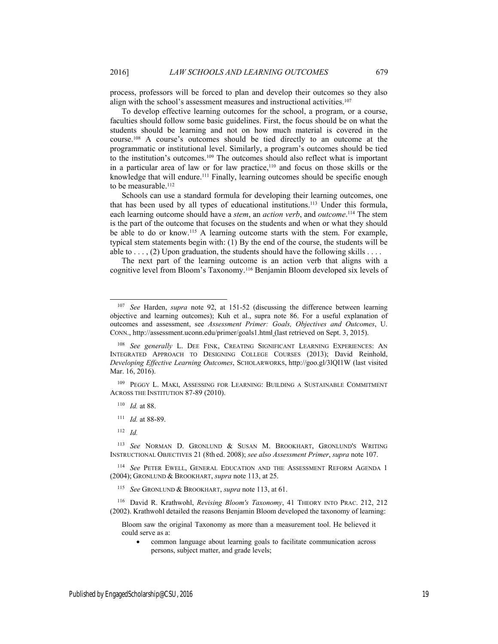process, professors will be forced to plan and develop their outcomes so they also align with the school's assessment measures and instructional activities.<sup>107</sup>

To develop effective learning outcomes for the school, a program, or a course, faculties should follow some basic guidelines. First, the focus should be on what the students should be learning and not on how much material is covered in the course.108 A course's outcomes should be tied directly to an outcome at the programmatic or institutional level. Similarly, a program's outcomes should be tied to the institution's outcomes.109 The outcomes should also reflect what is important in a particular area of law or for law practice,110 and focus on those skills or the knowledge that will endure.<sup>111</sup> Finally, learning outcomes should be specific enough to be measurable.<sup>112</sup>

Schools can use a standard formula for developing their learning outcomes, one that has been used by all types of educational institutions.113 Under this formula, each learning outcome should have a *stem*, an *action verb*, and *outcome*. 114 The stem is the part of the outcome that focuses on the students and when or what they should be able to do or know.<sup>115</sup> A learning outcome starts with the stem. For example, typical stem statements begin with: (1) By the end of the course, the students will be able to  $\dots$ , (2) Upon graduation, the students should have the following skills  $\dots$ 

The next part of the learning outcome is an action verb that aligns with a cognitive level from Bloom's Taxonomy.116 Benjamin Bloom developed six levels of

109 PEGGY L. MAKI, ASSESSING FOR LEARNING: BUILDING A SUSTAINABLE COMMITMENT ACROSS THE INSTITUTION 87-89 (2010).

- 110 *Id.* at 88.
- 111 *Id.* at 88-89.
- $112 \, Id$

113 *See* NORMAN D. GRONLUND & SUSAN M. BROOKHART, GRONLUND'S WRITING INSTRUCTIONAL OBJECTIVES 21 (8th ed. 2008); *see also Assessment Primer*, *supra* note 107.

114 *See* PETER EWELL, GENERAL EDUCATION AND THE ASSESSMENT REFORM AGENDA 1 (2004); GRONLUND & BROOKHART, *supra* note 113, at 25.

115 *See* GRONLUND & BROOKHART, *supra* note 113, at 61.

116 David R. Krathwohl, *Revising Bloom's Taxonomy*, 41 THEORY INTO PRAC. 212, 212 (2002). Krathwohl detailed the reasons Benjamin Bloom developed the taxonomy of learning:

Bloom saw the original Taxonomy as more than a measurement tool. He believed it could serve as a:

 common language about learning goals to facilitate communication across persons, subject matter, and grade levels;

 <sup>107</sup> *See* Harden, *supra* note 92, at 151-52 (discussing the difference between learning objective and learning outcomes); Kuh et al., supra note 86. For a useful explanation of outcomes and assessment, see *Assessment Primer: Goals, Objectives and Outcomes*, U. CONN., http://assessment.uconn.edu/primer/goals1.html (last retrieved on Sept. 3, 2015).

<sup>&</sup>lt;sup>108</sup> See generally L. DEE FINK, CREATING SIGNIFICANT LEARNING EXPERIENCES: AN INTEGRATED APPROACH TO DESIGNING COLLEGE COURSES (2013); David Reinhold, *Developing Effective Learning Outcomes*, SCHOLARWORKS, http://goo.gl/3lQI1W (last visited Mar. 16, 2016).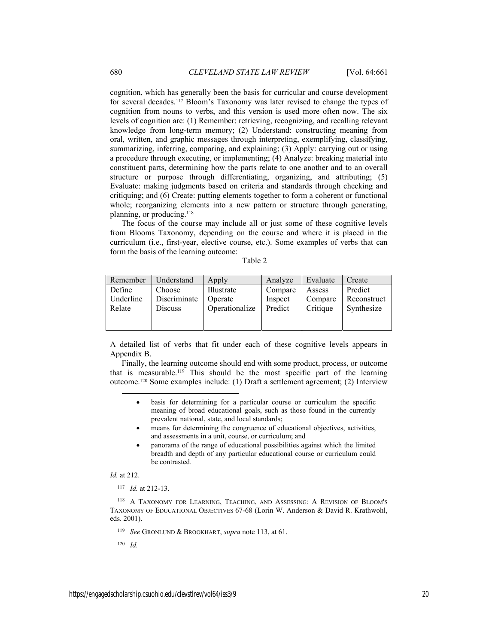cognition, which has generally been the basis for curricular and course development for several decades.117 Bloom's Taxonomy was later revised to change the types of cognition from nouns to verbs, and this version is used more often now. The six levels of cognition are: (1) Remember: retrieving, recognizing, and recalling relevant knowledge from long-term memory; (2) Understand: constructing meaning from oral, written, and graphic messages through interpreting, exemplifying, classifying, summarizing, inferring, comparing, and explaining; (3) Apply: carrying out or using a procedure through executing, or implementing; (4) Analyze: breaking material into constituent parts, determining how the parts relate to one another and to an overall structure or purpose through differentiating, organizing, and attributing; (5) Evaluate: making judgments based on criteria and standards through checking and critiquing; and (6) Create: putting elements together to form a coherent or functional whole; reorganizing elements into a new pattern or structure through generating, planning, or producing.<sup>118</sup>

The focus of the course may include all or just some of these cognitive levels from Blooms Taxonomy, depending on the course and where it is placed in the curriculum (i.e., first-year, elective course, etc.). Some examples of verbs that can form the basis of the learning outcome:

Table 2

| Remember  | Understand     | Apply          | Analyze | Evaluate | Create      |
|-----------|----------------|----------------|---------|----------|-------------|
| Define    | Choose         | Illustrate     | Compare | Assess   | Predict     |
| Underline | Discriminate   | Operate        | Inspect | Compare  | Reconstruct |
| Relate    | <b>Discuss</b> | Operationalize | Predict | Critique | Synthesize  |
|           |                |                |         |          |             |

A detailed list of verbs that fit under each of these cognitive levels appears in Appendix B.

Finally, the learning outcome should end with some product, process, or outcome that is measurable.119 This should be the most specific part of the learning outcome.120 Some examples include: (1) Draft a settlement agreement; (2) Interview

- basis for determining for a particular course or curriculum the specific meaning of broad educational goals, such as those found in the currently prevalent national, state, and local standards;
- means for determining the congruence of educational objectives, activities, and assessments in a unit, course, or curriculum; and
- panorama of the range of educational possibilities against which the limited breadth and depth of any particular educational course or curriculum could be contrasted.

# *Id.* at 212.

 $\overline{a}$ 

117 *Id.* at 212-13.

118 A TAXONOMY FOR LEARNING, TEACHING, AND ASSESSING: A REVISION OF BLOOM'S TAXONOMY OF EDUCATIONAL OBJECTIVES 67-68 (Lorin W. Anderson & David R. Krathwohl, eds. 2001).

120 *Id.*

<sup>119</sup> *See* GRONLUND & BROOKHART, *supra* note 113, at 61.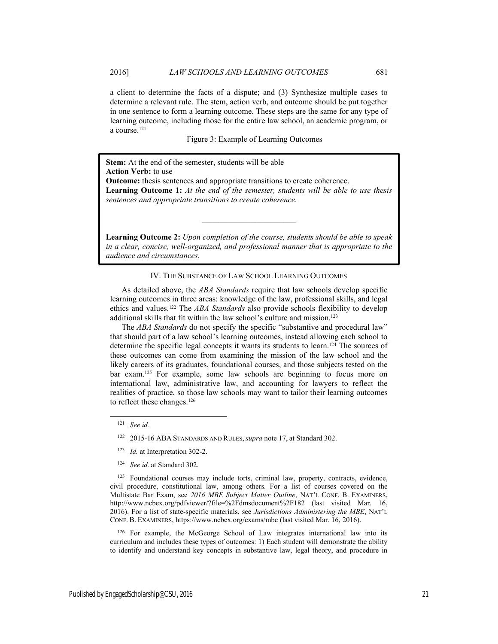a client to determine the facts of a dispute; and (3) Synthesize multiple cases to determine a relevant rule. The stem, action verb, and outcome should be put together in one sentence to form a learning outcome. These steps are the same for any type of learning outcome, including those for the entire law school, an academic program, or a course.121

Figure 3: Example of Learning Outcomes

**Stem:** At the end of the semester, students will be able **Action Verb:** to use **Outcome:** thesis sentences and appropriate transitions to create coherence. **Learning Outcome 1:** *At the end of the semester, students will be able to use thesis sentences and appropriate transitions to create coherence.* 

**Learning Outcome 2:** *Upon completion of the course, students should be able to speak in a clear, concise, well-organized, and professional manner that is appropriate to the audience and circumstances.*

\_\_\_\_\_\_\_\_\_\_\_\_\_\_\_\_\_\_\_\_\_\_\_

# IV. THE SUBSTANCE OF LAW SCHOOL LEARNING OUTCOMES

As detailed above, the *ABA Standards* require that law schools develop specific learning outcomes in three areas: knowledge of the law, professional skills, and legal ethics and values.122 The *ABA Standards* also provide schools flexibility to develop additional skills that fit within the law school's culture and mission.123

The *ABA Standards* do not specify the specific "substantive and procedural law" that should part of a law school's learning outcomes, instead allowing each school to determine the specific legal concepts it wants its students to learn.<sup>124</sup> The sources of these outcomes can come from examining the mission of the law school and the likely careers of its graduates, foundational courses, and those subjects tested on the bar exam.125 For example, some law schools are beginning to focus more on international law, administrative law, and accounting for lawyers to reflect the realities of practice, so those law schools may want to tailor their learning outcomes to reflect these changes.<sup>126</sup>

- 123 *Id.* at Interpretation 302-2.
- 124 *See id.* at Standard 302.

125 Foundational courses may include torts, criminal law, property, contracts, evidence, civil procedure, constitutional law, among others. For a list of courses covered on the Multistate Bar Exam, see *2016 MBE Subject Matter Outline*, NAT'L CONF. B. EXAMINERS, http://www.ncbex.org/pdfviewer/?file=%2Fdmsdocument%2F182 (last visited Mar. 16, 2016). For a list of state-specific materials, see *Jurisdictions Administering the MBE*, NAT'L CONF. B. EXAMINERS, https://www.ncbex.org/exams/mbe (last visited Mar. 16, 2016).

126 For example, the McGeorge School of Law integrates international law into its curriculum and includes these types of outcomes: 1) Each student will demonstrate the ability to identify and understand key concepts in substantive law, legal theory, and procedure in

 <sup>121</sup> *See id.*

<sup>122 2015-16</sup> ABA STANDARDS AND RULES, *supra* note 17, at Standard 302.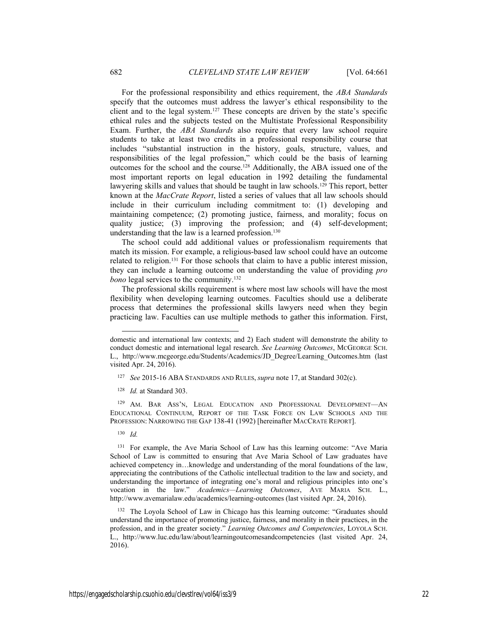For the professional responsibility and ethics requirement, the *ABA Standards* specify that the outcomes must address the lawyer's ethical responsibility to the client and to the legal system.127 These concepts are driven by the state's specific ethical rules and the subjects tested on the Multistate Professional Responsibility Exam. Further, the *ABA Standards* also require that every law school require students to take at least two credits in a professional responsibility course that includes "substantial instruction in the history, goals, structure, values, and responsibilities of the legal profession," which could be the basis of learning outcomes for the school and the course.128 Additionally, the ABA issued one of the most important reports on legal education in 1992 detailing the fundamental lawyering skills and values that should be taught in law schools.<sup>129</sup> This report, better known at the *MacCrate Report*, listed a series of values that all law schools should include in their curriculum including commitment to: (1) developing and maintaining competence; (2) promoting justice, fairness, and morality; focus on quality justice; (3) improving the profession; and (4) self-development; understanding that the law is a learned profession.130

The school could add additional values or professionalism requirements that match its mission. For example, a religious-based law school could have an outcome related to religion.<sup>131</sup> For those schools that claim to have a public interest mission, they can include a learning outcome on understanding the value of providing *pro bono* legal services to the community.132

The professional skills requirement is where most law schools will have the most flexibility when developing learning outcomes. Faculties should use a deliberate process that determines the professional skills lawyers need when they begin practicing law. Faculties can use multiple methods to gather this information. First,

129 AM. BAR ASS'N, LEGAL EDUCATION AND PROFESSIONAL DEVELOPMENT—AN EDUCATIONAL CONTINUUM, REPORT OF THE TASK FORCE ON LAW SCHOOLS AND THE PROFESSION: NARROWING THE GAP 138-41 (1992) [hereinafter MACCRATE REPORT].

130 *Id.*

 $\overline{a}$ 

131 For example, the Ave Maria School of Law has this learning outcome: "Ave Maria School of Law is committed to ensuring that Ave Maria School of Law graduates have achieved competency in…knowledge and understanding of the moral foundations of the law, appreciating the contributions of the Catholic intellectual tradition to the law and society, and understanding the importance of integrating one's moral and religious principles into one's vocation in the law." *Academics—Learning Outcomes*, AVE MARIA SCH. L., http://www.avemarialaw.edu/academics/learning-outcomes (last visited Apr. 24, 2016).

132 The Loyola School of Law in Chicago has this learning outcome: "Graduates should understand the importance of promoting justice, fairness, and morality in their practices, in the profession, and in the greater society." *Learning Outcomes and Competencies*, LOYOLA SCH. L., http://www.luc.edu/law/about/learningoutcomesandcompetencies (last visited Apr. 24, 2016).

domestic and international law contexts; and 2) Each student will demonstrate the ability to conduct domestic and international legal research. *See Learning Outcomes*, MCGEORGE SCH. L., http://www.mcgeorge.edu/Students/Academics/JD\_Degree/Learning\_Outcomes.htm (last visited Apr. 24, 2016).

<sup>127</sup> *See* 2015-16 ABA STANDARDS AND RULES, *supra* note 17, at Standard 302(c).

<sup>128</sup> *Id.* at Standard 303.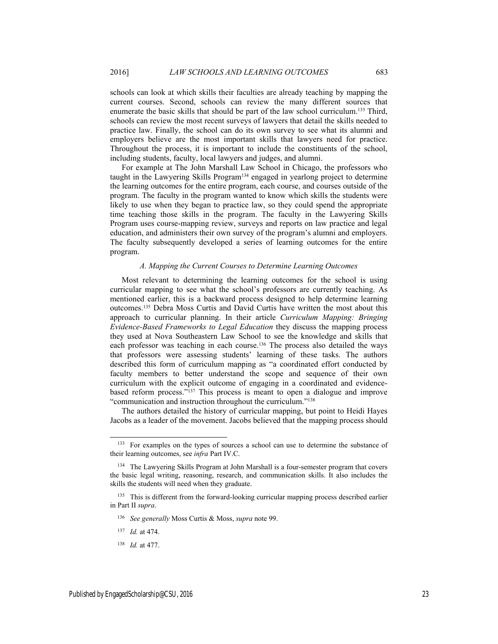schools can look at which skills their faculties are already teaching by mapping the current courses. Second, schools can review the many different sources that enumerate the basic skills that should be part of the law school curriculum.133 Third, schools can review the most recent surveys of lawyers that detail the skills needed to practice law. Finally, the school can do its own survey to see what its alumni and employers believe are the most important skills that lawyers need for practice. Throughout the process, it is important to include the constituents of the school, including students, faculty, local lawyers and judges, and alumni.

For example at The John Marshall Law School in Chicago, the professors who taught in the Lawyering Skills Program<sup>134</sup> engaged in yearlong project to determine the learning outcomes for the entire program, each course, and courses outside of the program. The faculty in the program wanted to know which skills the students were likely to use when they began to practice law, so they could spend the appropriate time teaching those skills in the program. The faculty in the Lawyering Skills Program uses course-mapping review, surveys and reports on law practice and legal education, and administers their own survey of the program's alumni and employers. The faculty subsequently developed a series of learning outcomes for the entire program.

#### *A. Mapping the Current Courses to Determine Learning Outcomes*

Most relevant to determining the learning outcomes for the school is using curricular mapping to see what the school's professors are currently teaching. As mentioned earlier, this is a backward process designed to help determine learning outcomes.135 Debra Moss Curtis and David Curtis have written the most about this approach to curricular planning. In their article *Curriculum Mapping: Bringing Evidence-Based Frameworks to Legal Education* they discuss the mapping process they used at Nova Southeastern Law School to see the knowledge and skills that each professor was teaching in each course.<sup>136</sup> The process also detailed the ways that professors were assessing students' learning of these tasks. The authors described this form of curriculum mapping as "a coordinated effort conducted by faculty members to better understand the scope and sequence of their own curriculum with the explicit outcome of engaging in a coordinated and evidencebased reform process."137 This process is meant to open a dialogue and improve "communication and instruction throughout the curriculum."138

The authors detailed the history of curricular mapping, but point to Heidi Hayes Jacobs as a leader of the movement. Jacobs believed that the mapping process should

<sup>&</sup>lt;sup>133</sup> For examples on the types of sources a school can use to determine the substance of their learning outcomes, see *infra* Part IV.C.

<sup>&</sup>lt;sup>134</sup> The Lawyering Skills Program at John Marshall is a four-semester program that covers the basic legal writing, reasoning, research, and communication skills. It also includes the skills the students will need when they graduate.

<sup>&</sup>lt;sup>135</sup> This is different from the forward-looking curricular mapping process described earlier in Part II *supra*.

<sup>136</sup> *See generally* Moss Curtis & Moss, *supra* note 99.

<sup>137</sup> *Id.* at 474.

<sup>138</sup> *Id.* at 477.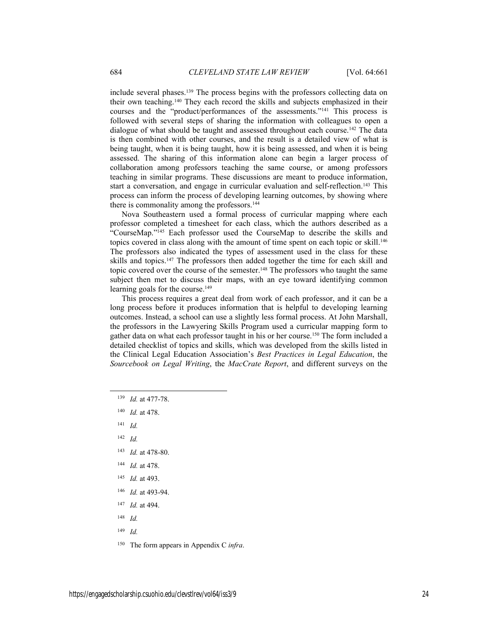include several phases.139 The process begins with the professors collecting data on their own teaching.140 They each record the skills and subjects emphasized in their courses and the "product/performances of the assessments."141 This process is followed with several steps of sharing the information with colleagues to open a dialogue of what should be taught and assessed throughout each course.<sup>142</sup> The data is then combined with other courses, and the result is a detailed view of what is being taught, when it is being taught, how it is being assessed, and when it is being assessed. The sharing of this information alone can begin a larger process of collaboration among professors teaching the same course, or among professors teaching in similar programs. These discussions are meant to produce information, start a conversation, and engage in curricular evaluation and self-reflection.<sup>143</sup> This process can inform the process of developing learning outcomes, by showing where there is commonality among the professors.<sup>144</sup>

Nova Southeastern used a formal process of curricular mapping where each professor completed a timesheet for each class, which the authors described as a "CourseMap."145 Each professor used the CourseMap to describe the skills and topics covered in class along with the amount of time spent on each topic or skill.<sup>146</sup> The professors also indicated the types of assessment used in the class for these skills and topics.147 The professors then added together the time for each skill and topic covered over the course of the semester.<sup>148</sup> The professors who taught the same subject then met to discuss their maps, with an eye toward identifying common learning goals for the course.<sup>149</sup>

This process requires a great deal from work of each professor, and it can be a long process before it produces information that is helpful to developing learning outcomes. Instead, a school can use a slightly less formal process. At John Marshall, the professors in the Lawyering Skills Program used a curricular mapping form to gather data on what each professor taught in his or her course.150 The form included a detailed checklist of topics and skills, which was developed from the skills listed in the Clinical Legal Education Association's *Best Practices in Legal Education*, the *Sourcebook on Legal Writing*, the *MacCrate Report*, and different surveys on the

- 141 *Id.*
- 142 *Id.*
- 143 *Id.* at 478-80.
- 144 *Id.* at 478.
- 145 *Id.* at 493.
- 146 *Id.* at 493-94.
- 147 *Id.* at 494.
- 148 *Id.*
- 149 *Id.*
- 150 The form appears in Appendix C *infra*.

 <sup>139</sup> *Id.* at 477-78.

<sup>140</sup> *Id.* at 478.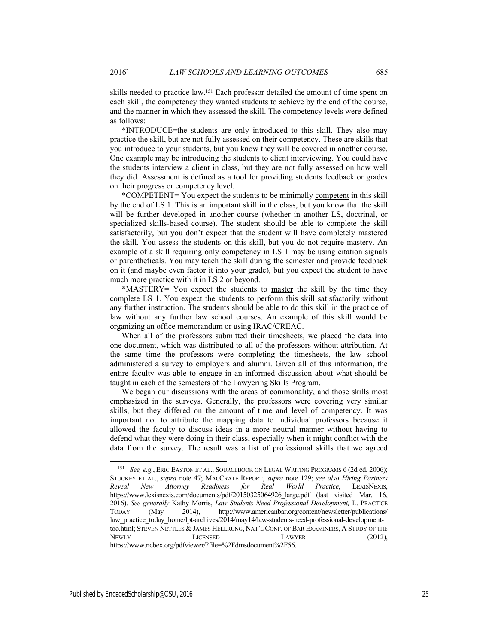skills needed to practice law.151 Each professor detailed the amount of time spent on each skill, the competency they wanted students to achieve by the end of the course, and the manner in which they assessed the skill. The competency levels were defined as follows:

\*INTRODUCE=the students are only introduced to this skill. They also may practice the skill, but are not fully assessed on their competency. These are skills that you introduce to your students, but you know they will be covered in another course. One example may be introducing the students to client interviewing. You could have the students interview a client in class, but they are not fully assessed on how well they did. Assessment is defined as a tool for providing students feedback or grades on their progress or competency level.

\*COMPETENT= You expect the students to be minimally competent in this skill by the end of LS 1. This is an important skill in the class, but you know that the skill will be further developed in another course (whether in another LS, doctrinal, or specialized skills-based course). The student should be able to complete the skill satisfactorily, but you don't expect that the student will have completely mastered the skill. You assess the students on this skill, but you do not require mastery. An example of a skill requiring only competency in LS 1 may be using citation signals or parentheticals. You may teach the skill during the semester and provide feedback on it (and maybe even factor it into your grade), but you expect the student to have much more practice with it in LS 2 or beyond.

\*MASTERY= You expect the students to master the skill by the time they complete LS 1. You expect the students to perform this skill satisfactorily without any further instruction. The students should be able to do this skill in the practice of law without any further law school courses. An example of this skill would be organizing an office memorandum or using IRAC/CREAC.

When all of the professors submitted their timesheets, we placed the data into one document, which was distributed to all of the professors without attribution. At the same time the professors were completing the timesheets, the law school administered a survey to employers and alumni. Given all of this information, the entire faculty was able to engage in an informed discussion about what should be taught in each of the semesters of the Lawyering Skills Program.

We began our discussions with the areas of commonality, and those skills most emphasized in the surveys. Generally, the professors were covering very similar skills, but they differed on the amount of time and level of competency. It was important not to attribute the mapping data to individual professors because it allowed the faculty to discuss ideas in a more neutral manner without having to defend what they were doing in their class, especially when it might conflict with the data from the survey. The result was a list of professional skills that we agreed

 <sup>151</sup> *See, e.g.*, ERIC EASTON ET AL., SOURCEBOOK ON LEGAL WRITING PROGRAMS 6 (2d ed. 2006); STUCKEY ET AL., *supra* note 47; MACCRATE REPORT, *supra* note 129; *see also Hiring Partners Reveal New Attorney Readiness for Real World Practice*, LEXISNEXIS, https://www.lexisnexis.com/documents/pdf/20150325064926\_large.pdf (last visited Mar. 16, 2016). *See generally* Kathy Morris, *Law Students Need Professional Development,* L. PRACTICE TODAY (May 2014), http://www.americanbar.org/content/newsletter/publications/ law\_practice\_today\_home/lpt-archives/2014/may14/law-students-need-professional-developmenttoo.html; STEVEN NETTLES & JAMES HELLRUNG, NAT'L CONF. OF BAR EXAMINERS, A STUDY OF THE NEWLY LICENSED LAWYER (2012), https://www.ncbex.org/pdfviewer/?file=%2Fdmsdocument%2F56.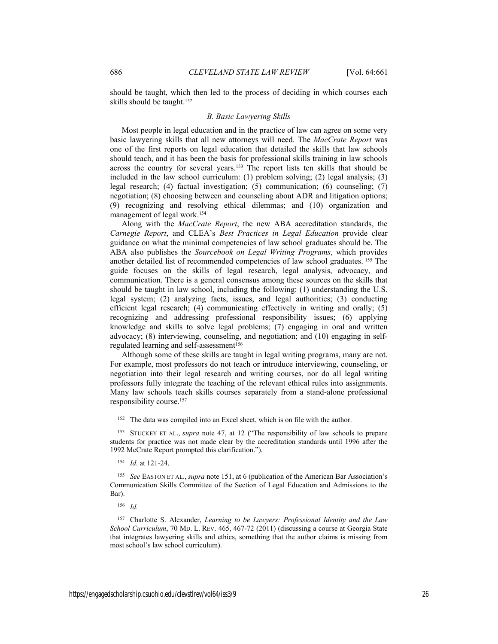should be taught, which then led to the process of deciding in which courses each skills should be taught.<sup>152</sup>

#### *B. Basic Lawyering Skills*

Most people in legal education and in the practice of law can agree on some very basic lawyering skills that all new attorneys will need. The *MacCrate Report* was one of the first reports on legal education that detailed the skills that law schools should teach, and it has been the basis for professional skills training in law schools across the country for several years.153 The report lists ten skills that should be included in the law school curriculum: (1) problem solving; (2) legal analysis; (3) legal research; (4) factual investigation; (5) communication; (6) counseling; (7) negotiation; (8) choosing between and counseling about ADR and litigation options; (9) recognizing and resolving ethical dilemmas; and (10) organization and management of legal work.154

Along with the *MacCrate Report*, the new ABA accreditation standards, the *Carnegie Report*, and CLEA's *Best Practices in Legal Education* provide clear guidance on what the minimal competencies of law school graduates should be. The ABA also publishes the *Sourcebook on Legal Writing Programs*, which provides another detailed list of recommended competencies of law school graduates. 155 The guide focuses on the skills of legal research, legal analysis, advocacy, and communication. There is a general consensus among these sources on the skills that should be taught in law school, including the following: (1) understanding the U.S. legal system; (2) analyzing facts, issues, and legal authorities; (3) conducting efficient legal research; (4) communicating effectively in writing and orally; (5) recognizing and addressing professional responsibility issues; (6) applying knowledge and skills to solve legal problems; (7) engaging in oral and written advocacy; (8) interviewing, counseling, and negotiation; and (10) engaging in selfregulated learning and self-assessment<sup>156</sup>

Although some of these skills are taught in legal writing programs, many are not. For example, most professors do not teach or introduce interviewing, counseling, or negotiation into their legal research and writing courses, nor do all legal writing professors fully integrate the teaching of the relevant ethical rules into assignments. Many law schools teach skills courses separately from a stand-alone professional responsibility course.157

154 *Id.* at 121-24.

156 *Id.*

<sup>&</sup>lt;sup>152</sup> The data was compiled into an Excel sheet, which is on file with the author.

<sup>153</sup> STUCKEY ET AL., *supra* note 47, at 12 ("The responsibility of law schools to prepare students for practice was not made clear by the accreditation standards until 1996 after the 1992 McCrate Report prompted this clarification.").

<sup>155</sup> *See* EASTON ET AL., *supra* note 151, at 6 (publication of the American Bar Association's Communication Skills Committee of the Section of Legal Education and Admissions to the Bar).

<sup>157</sup> Charlotte S. Alexander, *Learning to be Lawyers: Professional Identity and the Law School Curriculum*, 70 MD. L. REV. 465, 467-72 (2011) (discussing a course at Georgia State that integrates lawyering skills and ethics, something that the author claims is missing from most school's law school curriculum).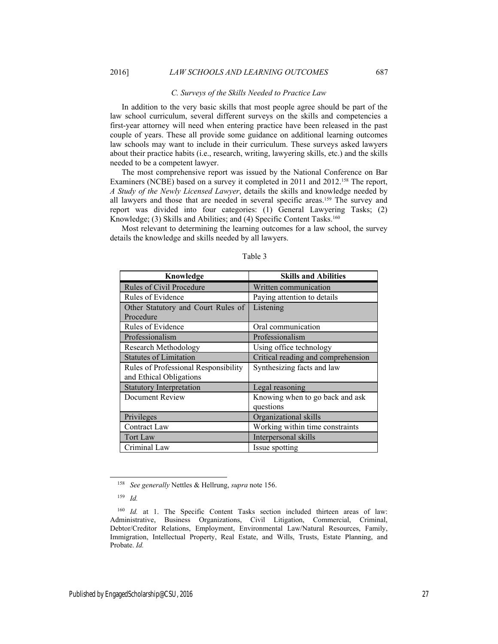#### *C. Surveys of the Skills Needed to Practice Law*

In addition to the very basic skills that most people agree should be part of the law school curriculum, several different surveys on the skills and competencies a first-year attorney will need when entering practice have been released in the past couple of years. These all provide some guidance on additional learning outcomes law schools may want to include in their curriculum. These surveys asked lawyers about their practice habits (i.e., research, writing, lawyering skills, etc.) and the skills needed to be a competent lawyer.

The most comprehensive report was issued by the National Conference on Bar Examiners (NCBE) based on a survey it completed in 2011 and 2012.<sup>158</sup> The report, *A Study of the Newly Licensed Lawyer*, details the skills and knowledge needed by all lawyers and those that are needed in several specific areas.159 The survey and report was divided into four categories: (1) General Lawyering Tasks; (2) Knowledge; (3) Skills and Abilities; and (4) Specific Content Tasks.<sup>160</sup>

Most relevant to determining the learning outcomes for a law school, the survey details the knowledge and skills needed by all lawyers.

| Knowledge                            | <b>Skills and Abilities</b>        |
|--------------------------------------|------------------------------------|
| Rules of Civil Procedure             | Written communication              |
| Rules of Evidence                    | Paying attention to details        |
| Other Statutory and Court Rules of   | Listening                          |
| Procedure                            |                                    |
| Rules of Evidence                    | Oral communication                 |
| Professionalism                      | Professionalism                    |
| <b>Research Methodology</b>          | Using office technology            |
| <b>Statutes of Limitation</b>        | Critical reading and comprehension |
| Rules of Professional Responsibility | Synthesizing facts and law         |
| and Ethical Obligations              |                                    |
| <b>Statutory Interpretation</b>      | Legal reasoning                    |
| Document Review                      | Knowing when to go back and ask    |
|                                      | questions                          |
| Privileges                           | Organizational skills              |
| Contract Law                         | Working within time constraints    |
| <b>Tort Law</b>                      | Interpersonal skills               |
| Criminal Law                         | Issue spotting                     |

#### Table 3

 <sup>158</sup> *See generally* Nettles & Hellrung, *supra* note 156.

<sup>159</sup> *Id.*

<sup>&</sup>lt;sup>160</sup> *Id.* at 1. The Specific Content Tasks section included thirteen areas of law: Administrative, Business Organizations, Civil Litigation, Commercial, Criminal, Debtor/Creditor Relations, Employment, Environmental Law/Natural Resources, Family, Immigration, Intellectual Property, Real Estate, and Wills, Trusts, Estate Planning, and Probate. *Id.*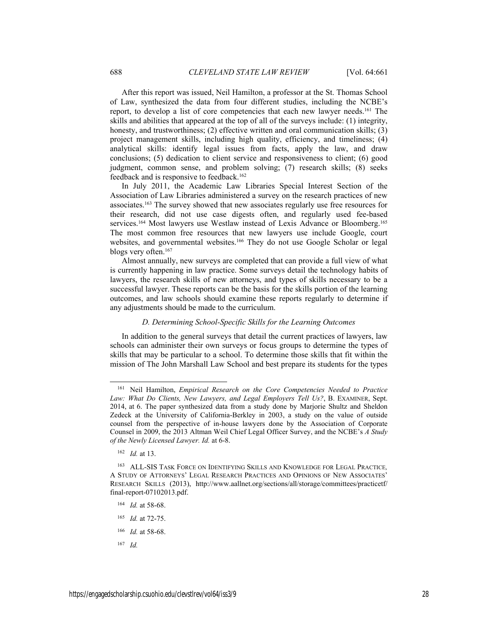After this report was issued, Neil Hamilton, a professor at the St. Thomas School of Law, synthesized the data from four different studies, including the NCBE's report, to develop a list of core competencies that each new lawyer needs.161 The skills and abilities that appeared at the top of all of the surveys include: (1) integrity, honesty, and trustworthiness; (2) effective written and oral communication skills; (3) project management skills, including high quality, efficiency, and timeliness; (4) analytical skills: identify legal issues from facts, apply the law, and draw conclusions; (5) dedication to client service and responsiveness to client; (6) good judgment, common sense, and problem solving; (7) research skills; (8) seeks feedback and is responsive to feedback.162

In July 2011, the Academic Law Libraries Special Interest Section of the Association of Law Libraries administered a survey on the research practices of new associates.163 The survey showed that new associates regularly use free resources for their research, did not use case digests often, and regularly used fee-based services.<sup>164</sup> Most lawyers use Westlaw instead of Lexis Advance or Bloomberg.<sup>165</sup> The most common free resources that new lawyers use include Google, court websites, and governmental websites.<sup>166</sup> They do not use Google Scholar or legal blogs very often.<sup>167</sup>

Almost annually, new surveys are completed that can provide a full view of what is currently happening in law practice. Some surveys detail the technology habits of lawyers, the research skills of new attorneys, and types of skills necessary to be a successful lawyer. These reports can be the basis for the skills portion of the learning outcomes, and law schools should examine these reports regularly to determine if any adjustments should be made to the curriculum.

#### *D. Determining School-Specific Skills for the Learning Outcomes*

In addition to the general surveys that detail the current practices of lawyers, law schools can administer their own surveys or focus groups to determine the types of skills that may be particular to a school. To determine those skills that fit within the mission of The John Marshall Law School and best prepare its students for the types

- 165 *Id.* at 72-75.
- 166 *Id.* at 58-68.
- 167 *Id.*

 <sup>161</sup> Neil Hamilton, *Empirical Research on the Core Competencies Needed to Practice Law: What Do Clients, New Lawyers, and Legal Employers Tell Us?*, B. EXAMINER, Sept. 2014, at 6. The paper synthesized data from a study done by Marjorie Shultz and Sheldon Zedeck at the University of California-Berkley in 2003, a study on the value of outside counsel from the perspective of in-house lawyers done by the Association of Corporate Counsel in 2009, the 2013 Altman Weil Chief Legal Officer Survey, and the NCBE's *A Study of the Newly Licensed Lawyer. Id.* at 6-8.

<sup>162</sup> *Id.* at 13.

<sup>163</sup> ALL-SIS TASK FORCE ON IDENTIFYING SKILLS AND KNOWLEDGE FOR LEGAL PRACTICE*,* A STUDY OF ATTORNEYS' LEGAL RESEARCH PRACTICES AND OPINIONS OF NEW ASSOCIATES' RESEARCH SKILLS (2013), http://www.aallnet.org/sections/all/storage/committees/practicetf/ final-report-07102013.pdf.

<sup>164</sup> *Id.* at 58-68.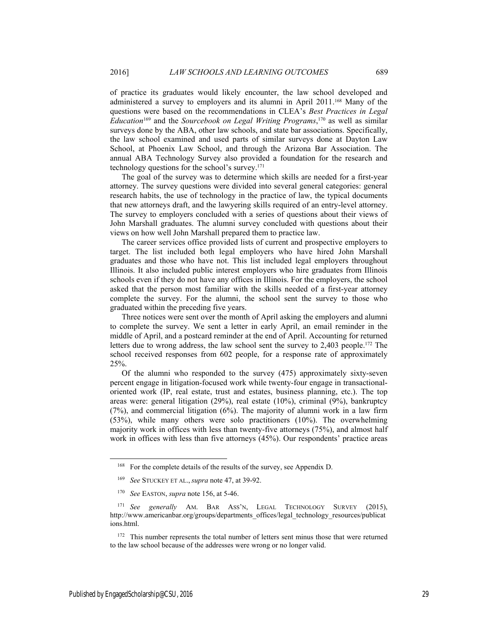of practice its graduates would likely encounter, the law school developed and administered a survey to employers and its alumni in April 2011.168 Many of the questions were based on the recommendations in CLEA's *Best Practices in Legal Education*169 and the *Sourcebook on Legal Writing Programs*, 170 as well as similar surveys done by the ABA, other law schools, and state bar associations. Specifically, the law school examined and used parts of similar surveys done at Dayton Law School, at Phoenix Law School, and through the Arizona Bar Association. The annual ABA Technology Survey also provided a foundation for the research and technology questions for the school's survey.171

The goal of the survey was to determine which skills are needed for a first-year attorney. The survey questions were divided into several general categories: general research habits, the use of technology in the practice of law, the typical documents that new attorneys draft, and the lawyering skills required of an entry-level attorney. The survey to employers concluded with a series of questions about their views of John Marshall graduates. The alumni survey concluded with questions about their views on how well John Marshall prepared them to practice law.

The career services office provided lists of current and prospective employers to target. The list included both legal employers who have hired John Marshall graduates and those who have not. This list included legal employers throughout Illinois. It also included public interest employers who hire graduates from Illinois schools even if they do not have any offices in Illinois. For the employers, the school asked that the person most familiar with the skills needed of a first-year attorney complete the survey. For the alumni, the school sent the survey to those who graduated within the preceding five years.

Three notices were sent over the month of April asking the employers and alumni to complete the survey. We sent a letter in early April, an email reminder in the middle of April, and a postcard reminder at the end of April. Accounting for returned letters due to wrong address, the law school sent the survey to 2,403 people.<sup>172</sup> The school received responses from 602 people, for a response rate of approximately 25%.

Of the alumni who responded to the survey (475) approximately sixty-seven percent engage in litigation-focused work while twenty-four engage in transactionaloriented work (IP, real estate, trust and estates, business planning, etc.). The top areas were: general litigation (29%), real estate (10%), criminal (9%), bankruptcy (7%), and commercial litigation (6%). The majority of alumni work in a law firm (53%), while many others were solo practitioners (10%). The overwhelming majority work in offices with less than twenty-five attorneys (75%), and almost half work in offices with less than five attorneys (45%). Our respondents' practice areas

<sup>&</sup>lt;sup>168</sup> For the complete details of the results of the survey, see Appendix D.

<sup>169</sup> *See* STUCKEY ET AL., *supra* note 47, at 39-92.

<sup>170</sup> *See* EASTON, *supra* note 156, at 5-46.

<sup>171</sup> *See generally* AM. BAR ASS'N, LEGAL TECHNOLOGY SURVEY (2015), http://www.americanbar.org/groups/departments\_offices/legal\_technology\_resources/publicat ions.html.

<sup>&</sup>lt;sup>172</sup> This number represents the total number of letters sent minus those that were returned to the law school because of the addresses were wrong or no longer valid.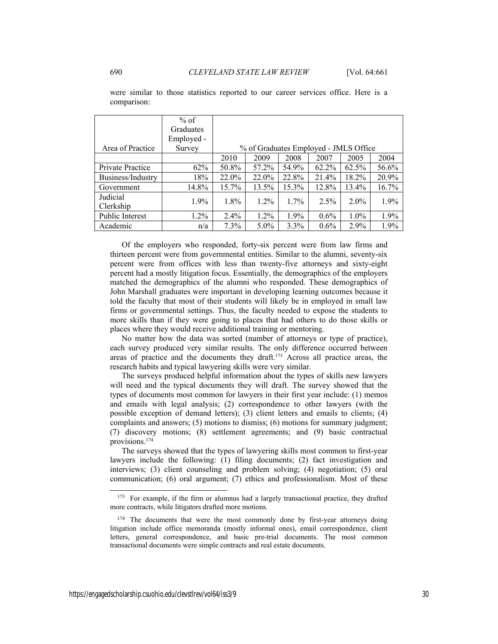|                         | $%$ of     |         |                                       |         |         |         |         |
|-------------------------|------------|---------|---------------------------------------|---------|---------|---------|---------|
|                         | Graduates  |         |                                       |         |         |         |         |
|                         | Employed - |         |                                       |         |         |         |         |
| Area of Practice        | Survey     |         | % of Graduates Employed - JMLS Office |         |         |         |         |
|                         |            | 2010    | 2009                                  | 2008    | 2007    | 2005    | 2004    |
| <b>Private Practice</b> | 62%        | 50.8%   | 57.2%                                 | 54.9%   | 62.2%   | 62.5%   | 56.6%   |
| Business/Industry       | 18%        | 22.0%   | 22.0%                                 | 22.8%   | 21.4%   | 18.2%   | 20.9%   |
| Government              | 14.8%      | 15.7%   | 13.5%                                 | 15.3%   | 12.8%   | 13.4%   | 16.7%   |
| Judicial                | $1.9\%$    | $1.8\%$ | $1.2\%$                               | $1.7\%$ | 2.5%    | $2.0\%$ | $1.9\%$ |
| Clerkship               |            |         |                                       |         |         |         |         |
| Public Interest         | 1.2%       | 2.4%    | 1.2%                                  | $1.9\%$ | $0.6\%$ | $1.0\%$ | $1.9\%$ |
| Academic                | n/a        | 7.3%    | $5.0\%$                               | $3.3\%$ | $0.6\%$ | $2.9\%$ | 1.9%    |

were similar to those statistics reported to our career services office. Here is a comparison:

Of the employers who responded, forty-six percent were from law firms and thirteen percent were from governmental entities. Similar to the alumni, seventy-six percent were from offices with less than twenty-five attorneys and sixty-eight percent had a mostly litigation focus. Essentially, the demographics of the employers matched the demographics of the alumni who responded. These demographics of John Marshall graduates were important in developing learning outcomes because it told the faculty that most of their students will likely be in employed in small law firms or governmental settings. Thus, the faculty needed to expose the students to more skills than if they were going to places that had others to do those skills or places where they would receive additional training or mentoring.

No matter how the data was sorted (number of attorneys or type of practice), each survey produced very similar results. The only difference occurred between areas of practice and the documents they draft.173 Across all practice areas, the research habits and typical lawyering skills were very similar.

The surveys produced helpful information about the types of skills new lawyers will need and the typical documents they will draft. The survey showed that the types of documents most common for lawyers in their first year include: (1) memos and emails with legal analysis; (2) correspondence to other lawyers (with the possible exception of demand letters); (3) client letters and emails to clients; (4) complaints and answers; (5) motions to dismiss; (6) motions for summary judgment; (7) discovery motions; (8) settlement agreements; and (9) basic contractual provisions.174

The surveys showed that the types of lawyering skills most common to first-year lawyers include the following: (1) filing documents; (2) fact investigation and interviews; (3) client counseling and problem solving; (4) negotiation; (5) oral communication; (6) oral argument; (7) ethics and professionalism. Most of these

<sup>&</sup>lt;sup>173</sup> For example, if the firm or alumnus had a largely transactional practice, they drafted more contracts, while litigators drafted more motions.

<sup>&</sup>lt;sup>174</sup> The documents that were the most commonly done by first-year attorneys doing litigation include office memoranda (mostly informal ones), email correspondence, client letters, general correspondence, and basic pre-trial documents. The most common transactional documents were simple contracts and real estate documents.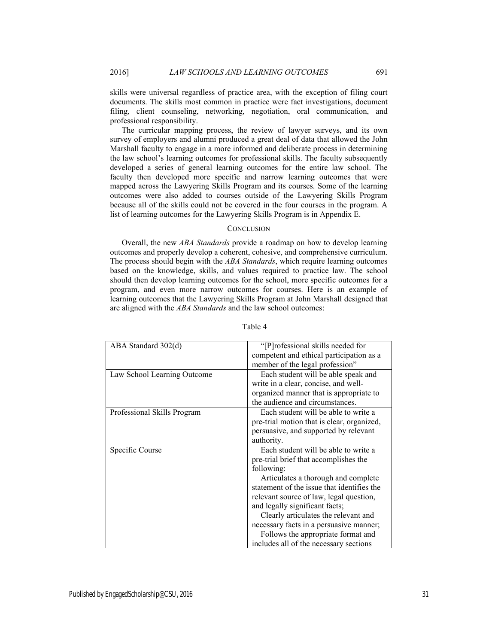skills were universal regardless of practice area, with the exception of filing court documents. The skills most common in practice were fact investigations, document filing, client counseling, networking, negotiation, oral communication, and professional responsibility.

The curricular mapping process, the review of lawyer surveys, and its own survey of employers and alumni produced a great deal of data that allowed the John Marshall faculty to engage in a more informed and deliberate process in determining the law school's learning outcomes for professional skills. The faculty subsequently developed a series of general learning outcomes for the entire law school. The faculty then developed more specific and narrow learning outcomes that were mapped across the Lawyering Skills Program and its courses. Some of the learning outcomes were also added to courses outside of the Lawyering Skills Program because all of the skills could not be covered in the four courses in the program. A list of learning outcomes for the Lawyering Skills Program is in Appendix E.

# **CONCLUSION**

Overall, the new *ABA Standards* provide a roadmap on how to develop learning outcomes and properly develop a coherent, cohesive, and comprehensive curriculum. The process should begin with the *ABA Standards*, which require learning outcomes based on the knowledge, skills, and values required to practice law. The school should then develop learning outcomes for the school, more specific outcomes for a program, and even more narrow outcomes for courses. Here is an example of learning outcomes that the Lawyering Skills Program at John Marshall designed that are aligned with the *ABA Standards* and the law school outcomes:

| ABA Standard 302(d)         | "[P]rofessional skills needed for          |
|-----------------------------|--------------------------------------------|
|                             | competent and ethical participation as a   |
|                             | member of the legal profession"            |
| Law School Learning Outcome | Each student will be able speak and        |
|                             | write in a clear, concise, and well-       |
|                             | organized manner that is appropriate to    |
|                             | the audience and circumstances.            |
| Professional Skills Program | Each student will be able to write a       |
|                             | pre-trial motion that is clear, organized, |
|                             | persuasive, and supported by relevant      |
|                             | authority.                                 |
| Specific Course             | Each student will be able to write a       |
|                             | pre-trial brief that accomplishes the      |
|                             | following:                                 |
|                             | Articulates a thorough and complete        |
|                             | statement of the issue that identifies the |
|                             | relevant source of law, legal question,    |
|                             | and legally significant facts;             |
|                             | Clearly articulates the relevant and       |
|                             | necessary facts in a persuasive manner;    |
|                             | Follows the appropriate format and         |
|                             | includes all of the necessary sections     |

Table 4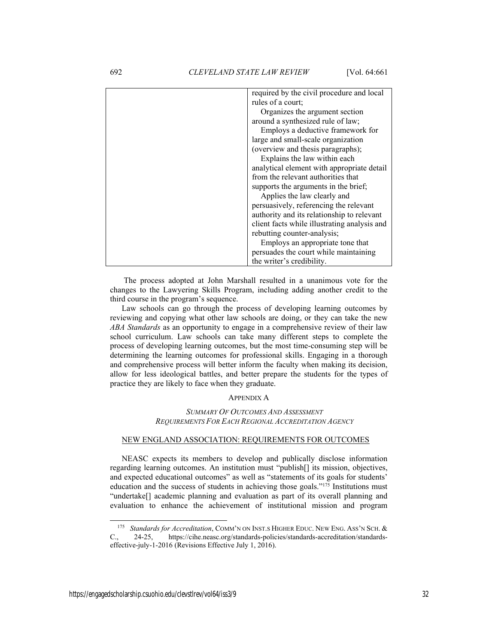| required by the civil procedure and local    |
|----------------------------------------------|
| rules of a court:                            |
| Organizes the argument section               |
| around a synthesized rule of law;            |
| Employs a deductive framework for            |
| large and small-scale organization           |
| (overview and thesis paragraphs);            |
| Explains the law within each                 |
| analytical element with appropriate detail   |
| from the relevant authorities that           |
| supports the arguments in the brief;         |
| Applies the law clearly and                  |
| persuasively, referencing the relevant       |
| authority and its relationship to relevant   |
| client facts while illustrating analysis and |
| rebutting counter-analysis;                  |
| Employs an appropriate tone that             |
| persuades the court while maintaining        |
| the writer's credibility.                    |

 The process adopted at John Marshall resulted in a unanimous vote for the changes to the Lawyering Skills Program, including adding another credit to the third course in the program's sequence.

Law schools can go through the process of developing learning outcomes by reviewing and copying what other law schools are doing, or they can take the new *ABA Standards* as an opportunity to engage in a comprehensive review of their law school curriculum. Law schools can take many different steps to complete the process of developing learning outcomes, but the most time-consuming step will be determining the learning outcomes for professional skills. Engaging in a thorough and comprehensive process will better inform the faculty when making its decision, allow for less ideological battles, and better prepare the students for the types of practice they are likely to face when they graduate.

# APPENDIX A

# *SUMMARY OF OUTCOMES AND ASSESSMENT REQUIREMENTS FOR EACH REGIONAL ACCREDITATION AGENCY*

#### NEW ENGLAND ASSOCIATION: REQUIREMENTS FOR OUTCOMES

NEASC expects its members to develop and publically disclose information regarding learning outcomes. An institution must "publish[] its mission, objectives, and expected educational outcomes" as well as "statements of its goals for students' education and the success of students in achieving those goals."175 Institutions must "undertake[] academic planning and evaluation as part of its overall planning and evaluation to enhance the achievement of institutional mission and program

 <sup>175</sup> *Standards for Accreditation*, COMM'N ON INST.S HIGHER EDUC. NEW ENG. ASS'N SCH. & C., 24-25, https://cihe.neasc.org/standards-policies/standards-accreditation/standardseffective-july-1-2016 (Revisions Effective July 1, 2016).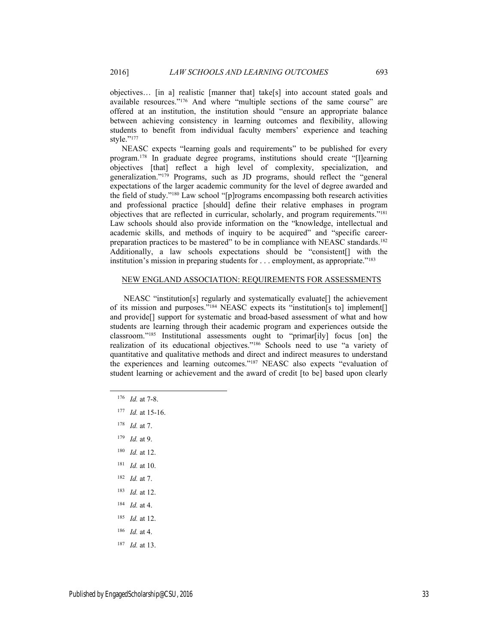objectives… [in a] realistic [manner that] take[s] into account stated goals and available resources."176 And where "multiple sections of the same course" are offered at an institution, the institution should "ensure an appropriate balance between achieving consistency in learning outcomes and flexibility, allowing students to benefit from individual faculty members' experience and teaching style."177

NEASC expects "learning goals and requirements" to be published for every program.178 In graduate degree programs, institutions should create "[l]earning objectives [that] reflect a high level of complexity, specialization, and generalization."179 Programs, such as JD programs, should reflect the "general expectations of the larger academic community for the level of degree awarded and the field of study."180 Law school "[p]rograms encompassing both research activities and professional practice [should] define their relative emphases in program objectives that are reflected in curricular, scholarly, and program requirements."181 Law schools should also provide information on the "knowledge, intellectual and academic skills, and methods of inquiry to be acquired" and "specific careerpreparation practices to be mastered" to be in compliance with NEASC standards.<sup>182</sup> Additionally, a law schools expectations should be "consistent[] with the institution's mission in preparing students for . . . employment, as appropriate."183

# NEW ENGLAND ASSOCIATION: REQUIREMENTS FOR ASSESSMENTS

 NEASC "institution[s] regularly and systematically evaluate[] the achievement of its mission and purposes."184 NEASC expects its "institution[s to] implement[] and provide[] support for systematic and broad-based assessment of what and how students are learning through their academic program and experiences outside the classroom."185 Institutional assessments ought to "primar[ily] focus [on] the realization of its educational objectives."186 Schools need to use "a variety of quantitative and qualitative methods and direct and indirect measures to understand the experiences and learning outcomes."187 NEASC also expects "evaluation of student learning or achievement and the award of credit [to be] based upon clearly

- 176 *Id.* at 7-8.
- 177 *Id.* at 15-16.
- 178 *Id.* at 7.
- 179 *Id.* at 9.
- 180 *Id.* at 12.
- 181 *Id.* at 10.
- 182 *Id.* at 7.
- 183 *Id.* at 12.
- 184 *Id.* at 4.
- 185 *Id.* at 12.
- 186 *Id.* at 4.
- 187 *Id.* at 13.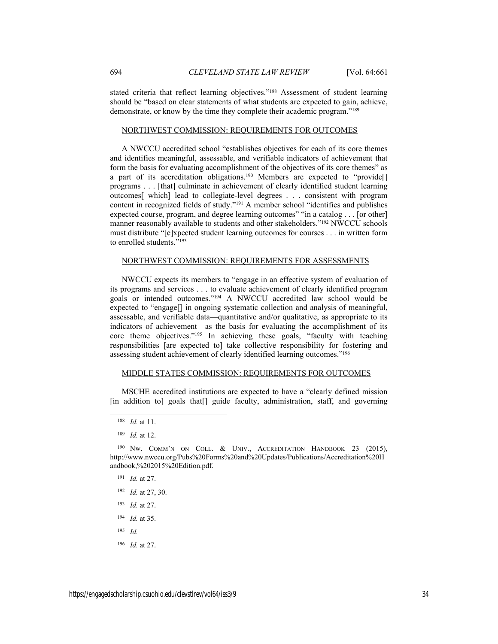stated criteria that reflect learning objectives."188 Assessment of student learning should be "based on clear statements of what students are expected to gain, achieve, demonstrate, or know by the time they complete their academic program."189

# NORTHWEST COMMISSION: REQUIREMENTS FOR OUTCOMES

A NWCCU accredited school "establishes objectives for each of its core themes and identifies meaningful, assessable, and verifiable indicators of achievement that form the basis for evaluating accomplishment of the objectives of its core themes" as a part of its accreditation obligations.<sup>190</sup> Members are expected to "provide<sup>[]</sup> programs . . . [that] culminate in achievement of clearly identified student learning outcomes[ which] lead to collegiate-level degrees . . . consistent with program content in recognized fields of study."191 A member school "identifies and publishes expected course, program, and degree learning outcomes" "in a catalog . . . [or other] manner reasonably available to students and other stakeholders."<sup>192</sup> NWCCU schools must distribute "[e]xpected student learning outcomes for courses . . . in written form to enrolled students."193

# NORTHWEST COMMISSION: REQUIREMENTS FOR ASSESSMENTS

NWCCU expects its members to "engage in an effective system of evaluation of its programs and services . . . to evaluate achievement of clearly identified program goals or intended outcomes."194 A NWCCU accredited law school would be expected to "engage<sup>[]</sup> in ongoing systematic collection and analysis of meaningful, assessable, and verifiable data—quantitative and/or qualitative, as appropriate to its indicators of achievement—as the basis for evaluating the accomplishment of its core theme objectives."195 In achieving these goals, "faculty with teaching responsibilities [are expected to] take collective responsibility for fostering and assessing student achievement of clearly identified learning outcomes."196

# MIDDLE STATES COMMISSION: REQUIREMENTS FOR OUTCOMES

MSCHE accredited institutions are expected to have a "clearly defined mission [in addition to] goals that<sup>[]</sup> guide faculty, administration, staff, and governing

- 191 *Id.* at 27.
- 192 *Id.* at 27, 30.
- 193 *Id.* at 27.
- 194 *Id.* at 35.
- 195 *Id.*
- 196 *Id.* at 27.

 <sup>188</sup> *Id.* at 11.

<sup>189</sup> *Id.* at 12.

<sup>&</sup>lt;sup>190</sup> NW. COMM'N ON COLL. & UNIV., ACCREDITATION HANDBOOK 23 (2015), http://www.nwccu.org/Pubs%20Forms%20and%20Updates/Publications/Accreditation%20H andbook,%202015%20Edition.pdf.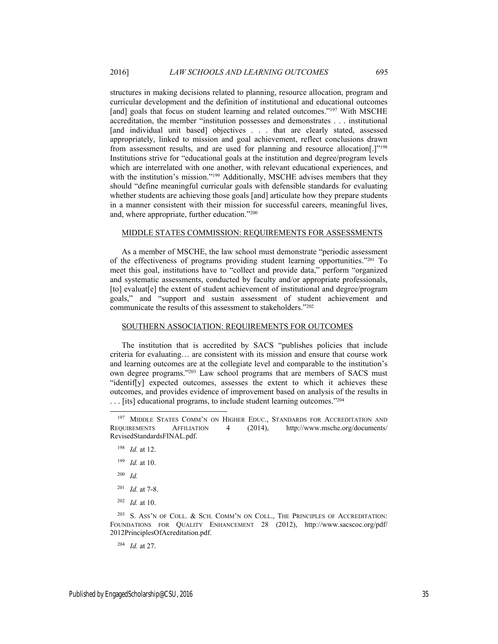structures in making decisions related to planning, resource allocation, program and curricular development and the definition of institutional and educational outcomes [and] goals that focus on student learning and related outcomes."<sup>197</sup> With MSCHE accreditation, the member "institution possesses and demonstrates . . . institutional [and individual unit based] objectives . . . that are clearly stated, assessed appropriately, linked to mission and goal achievement, reflect conclusions drawn from assessment results, and are used for planning and resource allocation[.]"198 Institutions strive for "educational goals at the institution and degree/program levels which are interrelated with one another, with relevant educational experiences, and with the institution's mission."<sup>199</sup> Additionally, MSCHE advises members that they should "define meaningful curricular goals with defensible standards for evaluating whether students are achieving those goals [and] articulate how they prepare students in a manner consistent with their mission for successful careers, meaningful lives, and, where appropriate, further education."200

#### MIDDLE STATES COMMISSION: REQUIREMENTS FOR ASSESSMENTS

As a member of MSCHE, the law school must demonstrate "periodic assessment of the effectiveness of programs providing student learning opportunities."201 To meet this goal, institutions have to "collect and provide data," perform "organized and systematic assessments, conducted by faculty and/or appropriate professionals, [to] evaluat[e] the extent of student achievement of institutional and degree/program goals," and "support and sustain assessment of student achievement and communicate the results of this assessment to stakeholders."202

#### SOUTHERN ASSOCIATION: REQUIREMENTS FOR OUTCOMES

The institution that is accredited by SACS "publishes policies that include criteria for evaluating… are consistent with its mission and ensure that course work and learning outcomes are at the collegiate level and comparable to the institution's own degree programs."203 Law school programs that are members of SACS must "identif[y] expected outcomes, assesses the extent to which it achieves these outcomes, and provides evidence of improvement based on analysis of the results in . . . [its] educational programs, to include student learning outcomes."204

- 200 *Id.*
- 201 *Id.* at 7-8.
- 202 *Id.* at 10.

<sup>203</sup> S. ASS'N OF COLL. & SCH. COMM'N ON COLL., THE PRINCIPLES OF ACCREDITATION: FOUNDATIONS FOR QUALITY ENHANCEMENT 28 (2012), http://www.sacscoc.org/pdf/ 2012PrinciplesOfAcreditation.pdf.

204 *Id.* at 27.

<sup>&</sup>lt;sup>197</sup> MIDDLE STATES COMM'N ON HIGHER EDUC., STANDARDS FOR ACCREDITATION AND REQUIREMENTS AFFILIATION 4 (2014), http://www.msche.org/documents/ RevisedStandardsFINAL.pdf.

<sup>198</sup> *Id.* at 12.

<sup>199</sup> *Id.* at 10.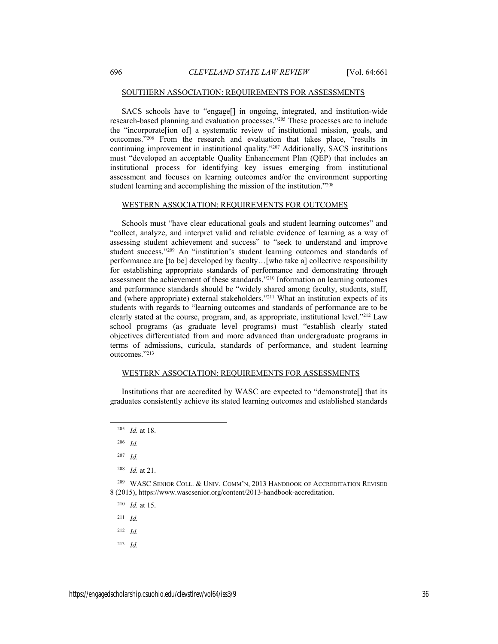#### SOUTHERN ASSOCIATION: REQUIREMENTS FOR ASSESSMENTS

SACS schools have to "engage[] in ongoing, integrated, and institution-wide research-based planning and evaluation processes."205 These processes are to include the "incorporate[ion of] a systematic review of institutional mission, goals, and outcomes."206 From the research and evaluation that takes place, "results in continuing improvement in institutional quality."207 Additionally, SACS institutions must "developed an acceptable Quality Enhancement Plan (QEP) that includes an institutional process for identifying key issues emerging from institutional assessment and focuses on learning outcomes and/or the environment supporting student learning and accomplishing the mission of the institution."208

#### WESTERN ASSOCIATION: REQUIREMENTS FOR OUTCOMES

Schools must "have clear educational goals and student learning outcomes" and "collect, analyze, and interpret valid and reliable evidence of learning as a way of assessing student achievement and success" to "seek to understand and improve student success."209 An "institution's student learning outcomes and standards of performance are [to be] developed by faculty…[who take a] collective responsibility for establishing appropriate standards of performance and demonstrating through assessment the achievement of these standards."210 Information on learning outcomes and performance standards should be "widely shared among faculty, students, staff, and (where appropriate) external stakeholders."211 What an institution expects of its students with regards to "learning outcomes and standards of performance are to be clearly stated at the course, program, and, as appropriate, institutional level."212 Law school programs (as graduate level programs) must "establish clearly stated objectives differentiated from and more advanced than undergraduate programs in terms of admissions, curicula, standards of performance, and student learning outcomes."213

#### WESTERN ASSOCIATION: REQUIREMENTS FOR ASSESSMENTS

Institutions that are accredited by WASC are expected to "demonstrate[] that its graduates consistently achieve its stated learning outcomes and established standards

206 *Id.*

208 *Id.* at 21.

210 *Id.* at 15.

- 211 *Id.*
- 212 *Id.*
- 213 *Id.*

 <sup>205</sup> *Id.* at 18.

<sup>207</sup> *Id.*

 $209$  WASC SENIOR COLL. & UNIV. COMM'N, 2013 HANDBOOK OF ACCREDITATION REVISED 8 (2015), https://www.wascsenior.org/content/2013-handbook-accreditation.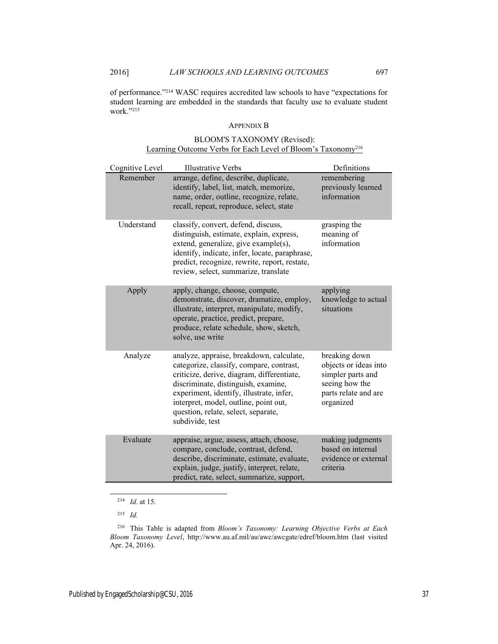of performance."214 WASC requires accredited law schools to have "expectations for student learning are embedded in the standards that faculty use to evaluate student work."215

#### APPENDIX B

| Cognitive Level | <b>Illustrative Verbs</b>                                                                                                                                                                                                                                                                                                | Definitions                                                                                                        |
|-----------------|--------------------------------------------------------------------------------------------------------------------------------------------------------------------------------------------------------------------------------------------------------------------------------------------------------------------------|--------------------------------------------------------------------------------------------------------------------|
| Remember        | arrange, define, describe, duplicate,<br>identify, label, list, match, memorize,<br>name, order, outline, recognize, relate,<br>recall, repeat, reproduce, select, state                                                                                                                                                 | remembering<br>previously learned<br>information                                                                   |
| Understand      | classify, convert, defend, discuss,<br>distinguish, estimate, explain, express,<br>extend, generalize, give example(s),<br>identify, indicate, infer, locate, paraphrase,<br>predict, recognize, rewrite, report, restate,<br>review, select, summarize, translate                                                       | grasping the<br>meaning of<br>information                                                                          |
| Apply           | apply, change, choose, compute,<br>demonstrate, discover, dramatize, employ,<br>illustrate, interpret, manipulate, modify,<br>operate, practice, predict, prepare,<br>produce, relate schedule, show, sketch,<br>solve, use write                                                                                        | applying<br>knowledge to actual<br>situations                                                                      |
| Analyze         | analyze, appraise, breakdown, calculate,<br>categorize, classify, compare, contrast,<br>criticize, derive, diagram, differentiate,<br>discriminate, distinguish, examine,<br>experiment, identify, illustrate, infer,<br>interpret, model, outline, point out,<br>question, relate, select, separate,<br>subdivide, test | breaking down<br>objects or ideas into<br>simpler parts and<br>seeing how the<br>parts relate and are<br>organized |
| Evaluate        | appraise, argue, assess, attach, choose,<br>compare, conclude, contrast, defend,<br>describe, discriminate, estimate, evaluate,<br>explain, judge, justify, interpret, relate,<br>predict, rate, select, summarize, support,                                                                                             | making judgments<br>based on internal<br>evidence or external<br>criteria                                          |

# BLOOM'S TAXONOMY (Revised): Learning Outcome Verbs for Each Level of Bloom's Taxonomy216

214 *Id.* at 15.

<sup>215</sup> *Id.*

<sup>216</sup> This Table is adapted from *Bloom's Taxonomy: Learning Objective Verbs at Each Bloom Taxonomy Level*, http://www.au.af.mil/au/awc/awcgate/edref/bloom.htm (last visited Apr. 24, 2016).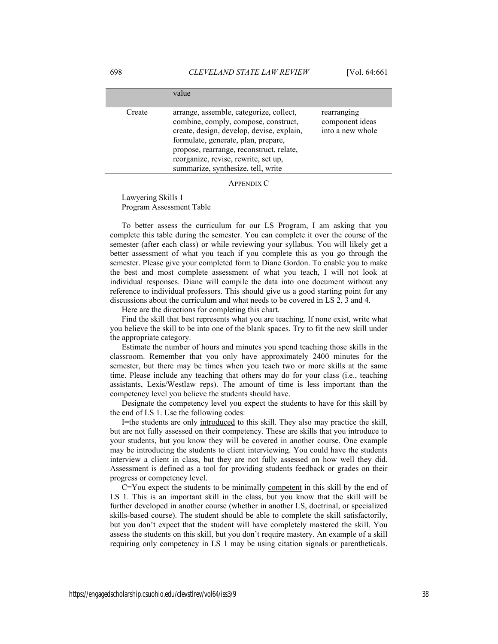|        | value                                                                                                                                                                                                                                                                                         |                                                    |
|--------|-----------------------------------------------------------------------------------------------------------------------------------------------------------------------------------------------------------------------------------------------------------------------------------------------|----------------------------------------------------|
| Create | arrange, assemble, categorize, collect,<br>combine, comply, compose, construct,<br>create, design, develop, devise, explain,<br>formulate, generate, plan, prepare,<br>propose, rearrange, reconstruct, relate,<br>reorganize, revise, rewrite, set up,<br>summarize, synthesize, tell, write | rearranging<br>component ideas<br>into a new whole |

APPENDIX C

Lawyering Skills 1 Program Assessment Table

To better assess the curriculum for our LS Program, I am asking that you complete this table during the semester. You can complete it over the course of the semester (after each class) or while reviewing your syllabus. You will likely get a better assessment of what you teach if you complete this as you go through the semester. Please give your completed form to Diane Gordon. To enable you to make the best and most complete assessment of what you teach, I will not look at individual responses. Diane will compile the data into one document without any reference to individual professors. This should give us a good starting point for any discussions about the curriculum and what needs to be covered in LS 2, 3 and 4.

Here are the directions for completing this chart.

Find the skill that best represents what you are teaching. If none exist, write what you believe the skill to be into one of the blank spaces. Try to fit the new skill under the appropriate category.

Estimate the number of hours and minutes you spend teaching those skills in the classroom. Remember that you only have approximately 2400 minutes for the semester, but there may be times when you teach two or more skills at the same time. Please include any teaching that others may do for your class (i.e., teaching assistants, Lexis/Westlaw reps). The amount of time is less important than the competency level you believe the students should have.

Designate the competency level you expect the students to have for this skill by the end of LS 1. Use the following codes:

I=the students are only introduced to this skill. They also may practice the skill, but are not fully assessed on their competency. These are skills that you introduce to your students, but you know they will be covered in another course. One example may be introducing the students to client interviewing. You could have the students interview a client in class, but they are not fully assessed on how well they did. Assessment is defined as a tool for providing students feedback or grades on their progress or competency level.

C=You expect the students to be minimally competent in this skill by the end of LS 1. This is an important skill in the class, but you know that the skill will be further developed in another course (whether in another LS, doctrinal, or specialized skills-based course). The student should be able to complete the skill satisfactorily, but you don't expect that the student will have completely mastered the skill. You assess the students on this skill, but you don't require mastery. An example of a skill requiring only competency in LS 1 may be using citation signals or parentheticals.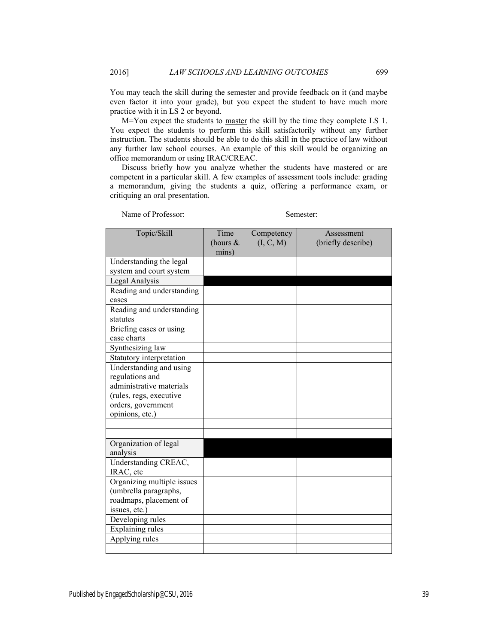You may teach the skill during the semester and provide feedback on it (and maybe even factor it into your grade), but you expect the student to have much more practice with it in LS 2 or beyond.

M=You expect the students to master the skill by the time they complete LS 1. You expect the students to perform this skill satisfactorily without any further instruction. The students should be able to do this skill in the practice of law without any further law school courses. An example of this skill would be organizing an office memorandum or using IRAC/CREAC.

Discuss briefly how you analyze whether the students have mastered or are competent in a particular skill. A few examples of assessment tools include: grading a memorandum, giving the students a quiz, offering a performance exam, or critiquing an oral presentation.

Name of Professor: Semester:

| Topic/Skill                            | Time<br>(hours $&$<br>mins) | Competency<br>(I, C, M) | Assessment<br>(briefly describe) |
|----------------------------------------|-----------------------------|-------------------------|----------------------------------|
| Understanding the legal                |                             |                         |                                  |
| system and court system                |                             |                         |                                  |
| Legal Analysis                         |                             |                         |                                  |
| Reading and understanding              |                             |                         |                                  |
| cases                                  |                             |                         |                                  |
| Reading and understanding<br>statutes  |                             |                         |                                  |
| Briefing cases or using<br>case charts |                             |                         |                                  |
| Synthesizing law                       |                             |                         |                                  |
| Statutory interpretation               |                             |                         |                                  |
| Understanding and using                |                             |                         |                                  |
| regulations and                        |                             |                         |                                  |
| administrative materials               |                             |                         |                                  |
| (rules, regs, executive                |                             |                         |                                  |
| orders, government                     |                             |                         |                                  |
| opinions, etc.)                        |                             |                         |                                  |
|                                        |                             |                         |                                  |
|                                        |                             |                         |                                  |
| Organization of legal                  |                             |                         |                                  |
| analysis                               |                             |                         |                                  |
| Understanding CREAC,<br>IRAC, etc      |                             |                         |                                  |
| Organizing multiple issues             |                             |                         |                                  |
| (umbrella paragraphs,                  |                             |                         |                                  |
| roadmaps, placement of                 |                             |                         |                                  |
| issues, etc.)                          |                             |                         |                                  |
| Developing rules                       |                             |                         |                                  |
| <b>Explaining rules</b>                |                             |                         |                                  |
| Applying rules                         |                             |                         |                                  |
|                                        |                             |                         |                                  |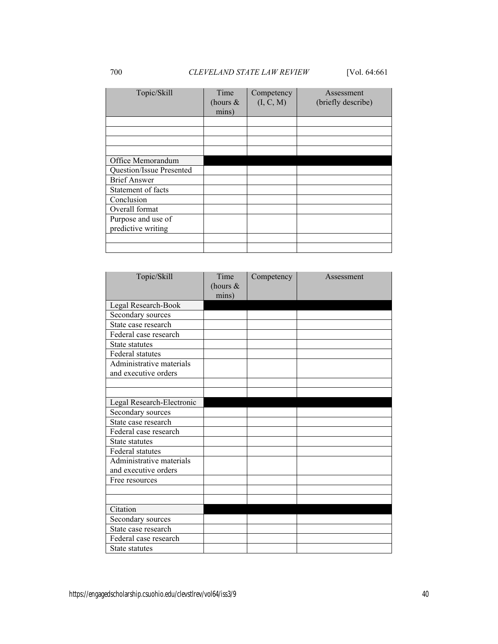| Topic/Skill                              | Time<br>(hours $\&$<br>mins) | Competency<br>(I, C, M) | Assessment<br>(briefly describe) |
|------------------------------------------|------------------------------|-------------------------|----------------------------------|
|                                          |                              |                         |                                  |
|                                          |                              |                         |                                  |
|                                          |                              |                         |                                  |
|                                          |                              |                         |                                  |
| Office Memorandum                        |                              |                         |                                  |
| Question/Issue Presented                 |                              |                         |                                  |
| <b>Brief Answer</b>                      |                              |                         |                                  |
| Statement of facts                       |                              |                         |                                  |
| Conclusion                               |                              |                         |                                  |
| Overall format                           |                              |                         |                                  |
| Purpose and use of<br>predictive writing |                              |                         |                                  |
|                                          |                              |                         |                                  |
|                                          |                              |                         |                                  |

| Topic/Skill                                      | Time<br>(hours $\&$<br>mins) | Competency | Assessment |
|--------------------------------------------------|------------------------------|------------|------------|
| Legal Research-Book                              |                              |            |            |
| Secondary sources                                |                              |            |            |
| State case research                              |                              |            |            |
| Federal case research                            |                              |            |            |
| State statutes                                   |                              |            |            |
| <b>Federal statutes</b>                          |                              |            |            |
| Administrative materials<br>and executive orders |                              |            |            |
|                                                  |                              |            |            |
|                                                  |                              |            |            |
| Legal Research-Electronic                        |                              |            |            |
| Secondary sources                                |                              |            |            |
| State case research                              |                              |            |            |
| Federal case research                            |                              |            |            |
| State statutes                                   |                              |            |            |
| Federal statutes                                 |                              |            |            |
| Administrative materials<br>and executive orders |                              |            |            |
| Free resources                                   |                              |            |            |
|                                                  |                              |            |            |
|                                                  |                              |            |            |
| Citation                                         |                              |            |            |
| Secondary sources                                |                              |            |            |
| State case research                              |                              |            |            |
| Federal case research                            |                              |            |            |
| State statutes                                   |                              |            |            |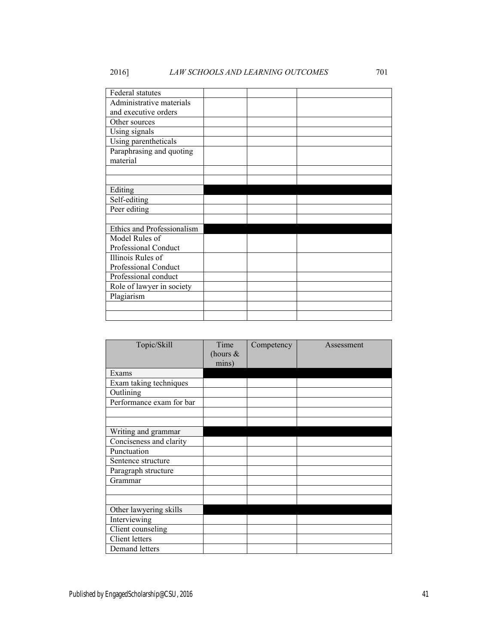| Federal statutes                     |  |  |
|--------------------------------------|--|--|
| Administrative materials             |  |  |
| and executive orders                 |  |  |
| Other sources                        |  |  |
| Using signals                        |  |  |
| Using parentheticals                 |  |  |
| Paraphrasing and quoting<br>material |  |  |
|                                      |  |  |
| Editing                              |  |  |
| Self-editing                         |  |  |
| Peer editing                         |  |  |
|                                      |  |  |
| Ethics and Professionalism           |  |  |
| Model Rules of                       |  |  |
| Professional Conduct                 |  |  |
| Illinois Rules of                    |  |  |
| Professional Conduct                 |  |  |
| Professional conduct                 |  |  |
| Role of lawyer in society            |  |  |
| Plagiarism                           |  |  |
|                                      |  |  |
|                                      |  |  |

| Topic/Skill              | Time        | Competency | Assessment |
|--------------------------|-------------|------------|------------|
|                          | (hours $\&$ |            |            |
|                          | mins)       |            |            |
| Exams                    |             |            |            |
| Exam taking techniques   |             |            |            |
| Outlining                |             |            |            |
| Performance exam for bar |             |            |            |
|                          |             |            |            |
|                          |             |            |            |
| Writing and grammar      |             |            |            |
| Conciseness and clarity  |             |            |            |
| Punctuation              |             |            |            |
| Sentence structure       |             |            |            |
| Paragraph structure      |             |            |            |
| Grammar                  |             |            |            |
|                          |             |            |            |
|                          |             |            |            |
| Other lawyering skills   |             |            |            |
| Interviewing             |             |            |            |
| Client counseling        |             |            |            |
| Client letters           |             |            |            |
| Demand letters           |             |            |            |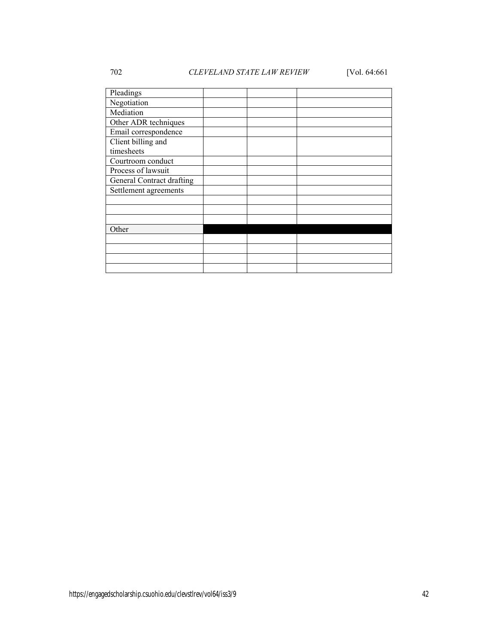# 702 *CLEVELAND STATE LAW REVIEW* [Vol. 64:661

| Pleadings                 |  |  |
|---------------------------|--|--|
| Negotiation               |  |  |
| Mediation                 |  |  |
| Other ADR techniques      |  |  |
| Email correspondence      |  |  |
| Client billing and        |  |  |
| timesheets                |  |  |
| Courtroom conduct         |  |  |
| Process of lawsuit        |  |  |
| General Contract drafting |  |  |
| Settlement agreements     |  |  |
|                           |  |  |
|                           |  |  |
|                           |  |  |
| Other                     |  |  |
|                           |  |  |
|                           |  |  |
|                           |  |  |
|                           |  |  |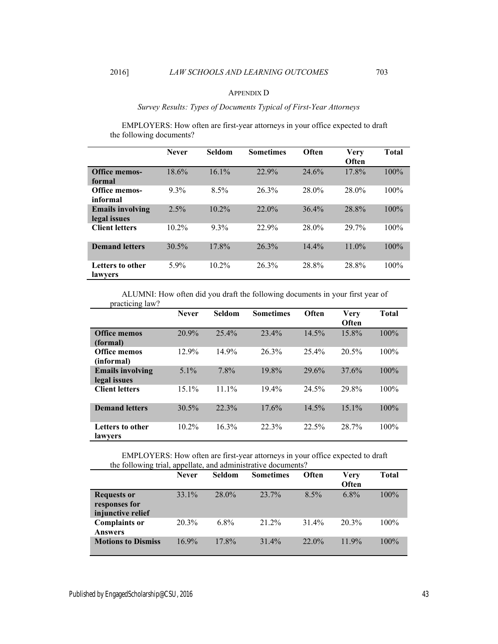#### APPENDIX D

# *Survey Results: Types of Documents Typical of First-Year Attorneys*

EMPLOYERS: How often are first-year attorneys in your office expected to draft the following documents?

|                                         | <b>Never</b> | <b>Seldom</b> | <b>Sometimes</b> | Often    | <b>Very</b><br>Often | <b>Total</b> |
|-----------------------------------------|--------------|---------------|------------------|----------|----------------------|--------------|
| <b>Office memos-</b><br>formal          | 18.6%        | 16.1%         | 22.9%            | 24.6%    | 17.8%                | 100%         |
| <b>Office memos-</b><br>informal        | $9.3\%$      | 8.5%          | 26.3%            | 28.0%    | 28.0%                | $100\%$      |
| <b>Emails involving</b><br>legal issues | 2.5%         | 10.2%         | 22.0%            | 36.4%    | 28.8%                | 100%         |
| <b>Client letters</b>                   | $10.2\%$     | $9.3\%$       | 22.9%            | 28.0%    | 29 7%                | $100\%$      |
| <b>Demand letters</b>                   | 30.5%        | 17.8%         | 26.3%            | $14.4\%$ | $11.0\%$             | $100\%$      |
| Letters to other<br>lawyers             | $5.9\%$      | $10.2\%$      | $26.3\%$         | 28.8%    | 28.8%                | $100\%$      |

ALUMNI: How often did you draft the following documents in your first year of practicing law?

|                                         | <b>Never</b> | <b>Seldom</b> | <b>Sometimes</b> | Often | <b>Very</b><br>Often | <b>Total</b> |
|-----------------------------------------|--------------|---------------|------------------|-------|----------------------|--------------|
| <b>Office memos</b><br>(formal)         | 20.9%        | 25.4%         | 23.4%            | 14.5% | 15.8%                | 100%         |
| <b>Office memos</b><br>(informal)       | 12.9%        | 14.9%         | 26.3%            | 25.4% | 20.5%                | 100%         |
| <b>Emails involving</b><br>legal issues | $5.1\%$      | 7.8%          | 19.8%            | 29.6% | 37.6%                | 100%         |
| <b>Client letters</b>                   | $15.1\%$     | $11.1\%$      | $19.4\%$         | 24.5% | 29.8%                | 100%         |
| <b>Demand letters</b>                   | 30.5%        | 22.3%         | 17.6%            | 14.5% | $15.1\%$             | 100%         |
| <b>Letters to other</b><br>lawyers      | $10.2\%$     | 16.3%         | 22.3%            | 22.5% | 28.7%                | 100%         |

EMPLOYERS: How often are first-year attorneys in your office expected to draft the following trial, appellate, and administrative documents?

|                                                          | <b>Never</b> | <b>Seldom</b> | <b>Sometimes</b> | Often    | Very<br>Often | <b>Total</b> |
|----------------------------------------------------------|--------------|---------------|------------------|----------|---------------|--------------|
| <b>Requests or</b><br>responses for<br>injunctive relief | 33.1%        | $28.0\%$      | 23.7%            | $8.5\%$  | 6.8%          | $100\%$      |
| <b>Complaints or</b><br><b>Answers</b>                   | $20.3\%$     | $6.8\%$       | 21 2%            | 31.4%    | 20.3%         | $100\%$      |
| <b>Motions to Dismiss</b>                                | 169%         | $17.8\%$      | $31.4\%$         | $22.0\%$ | 119%          | $100\%$      |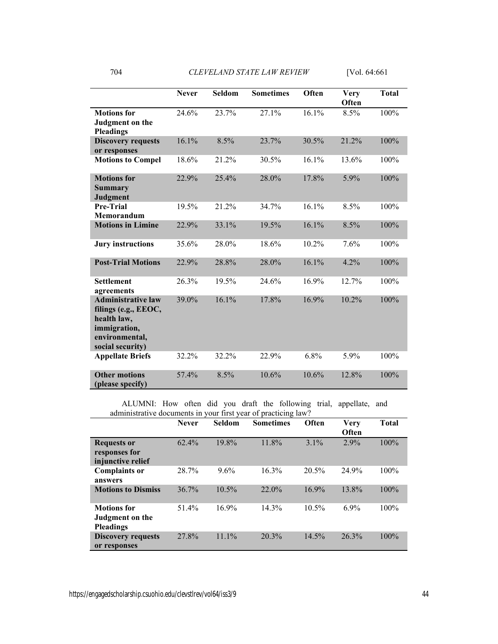|                                                                                                                        | <b>Never</b> | <b>Seldom</b> | <b>Sometimes</b> | Often | <b>Very</b><br>Often | <b>Total</b> |
|------------------------------------------------------------------------------------------------------------------------|--------------|---------------|------------------|-------|----------------------|--------------|
| <b>Motions</b> for<br>Judgment on the<br><b>Pleadings</b>                                                              | 24.6%        | 23.7%         | 27.1%            | 16.1% | 8.5%                 | 100%         |
| <b>Discovery requests</b><br>or responses                                                                              | 16.1%        | 8.5%          | 23.7%            | 30.5% | 21.2%                | 100%         |
| <b>Motions to Compel</b>                                                                                               | 18.6%        | 21.2%         | 30.5%            | 16.1% | 13.6%                | 100%         |
| <b>Motions</b> for<br><b>Summary</b><br><b>Judgment</b>                                                                | 22.9%        | 25.4%         | 28.0%            | 17.8% | 5.9%                 | 100%         |
| Pre-Trial<br>Memorandum                                                                                                | 19.5%        | 21.2%         | 34.7%            | 16.1% | 8.5%                 | 100%         |
| <b>Motions in Limine</b>                                                                                               | 22.9%        | 33.1%         | 19.5%            | 16.1% | 8.5%                 | 100%         |
| <b>Jury instructions</b>                                                                                               | 35.6%        | 28.0%         | 18.6%            | 10.2% | 7.6%                 | 100%         |
| <b>Post-Trial Motions</b>                                                                                              | 22.9%        | 28.8%         | 28.0%            | 16.1% | 4.2%                 | 100%         |
| <b>Settlement</b><br>agreements                                                                                        | 26.3%        | 19.5%         | 24.6%            | 16.9% | 12.7%                | 100%         |
| <b>Administrative law</b><br>filings (e.g., EEOC,<br>health law,<br>immigration,<br>environmental,<br>social security) | 39.0%        | 16.1%         | 17.8%            | 16.9% | 10.2%                | 100%         |
| <b>Appellate Briefs</b>                                                                                                | 32.2%        | 32.2%         | 22.9%            | 6.8%  | 5.9%                 | 100%         |
| <b>Other motions</b><br>(please specify)                                                                               | 57.4%        | 8.5%          | 10.6%            | 10.6% | 12.8%                | 100%         |

ALUMNI: How often did you draft the following trial, appellate, and administrative documents in your first year of practicing law?

|                                                           | <b>Never</b> | <b>Seldom</b> | ັ<br><b>Sometimes</b> | Often    | Verv<br>Often | <b>Total</b> |
|-----------------------------------------------------------|--------------|---------------|-----------------------|----------|---------------|--------------|
| <b>Requests or</b><br>responses for<br>injunctive relief  | 62.4%        | 19.8%         | 11.8%                 | $3.1\%$  | 2.9%          | 100%         |
| <b>Complaints or</b><br>answers                           | 28.7%        | 9.6%          | 16.3%                 | 20.5%    | 24.9%         | 100%         |
| <b>Motions to Dismiss</b>                                 | 36.7%        | 10.5%         | 22.0%                 | 16.9%    | 13.8%         | 100%         |
| <b>Motions</b> for<br>Judgment on the<br><b>Pleadings</b> | 51.4%        | 16.9%         | 14.3%                 | $10.5\%$ | $6.9\%$       | 100%         |
| <b>Discovery requests</b><br>or responses                 | 27.8%        | 11.1%         | 20.3%                 | 14.5%    | 26.3%         | 100%         |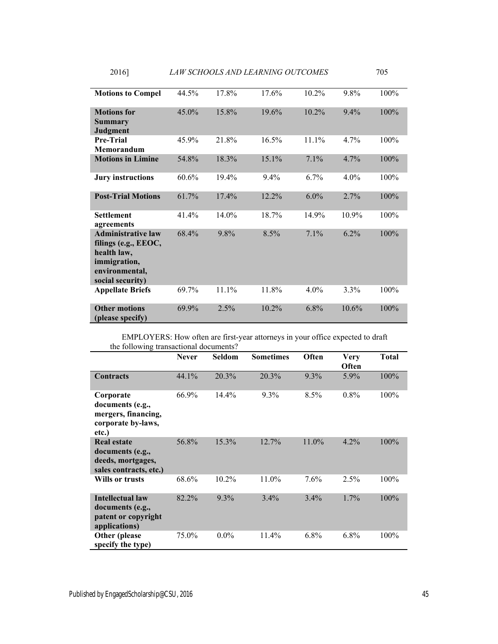| <b>Motions to Compel</b>                                                                                               | 44.5% | 17.8% | 17.6%    | 10.2%   | 9.8%    | 100% |
|------------------------------------------------------------------------------------------------------------------------|-------|-------|----------|---------|---------|------|
| <b>Motions</b> for                                                                                                     | 45.0% | 15.8% | 19.6%    | 10.2%   | 9.4%    | 100% |
| Summary<br>Judgment                                                                                                    |       |       |          |         |         |      |
| <b>Pre-Trial</b><br>Memorandum                                                                                         | 45.9% | 21.8% | 16.5%    | 11.1%   | 4.7%    | 100% |
| <b>Motions in Limine</b>                                                                                               | 54.8% | 18.3% | $15.1\%$ | 7.1%    | 4.7%    | 100% |
| <b>Jury instructions</b>                                                                                               | 60.6% | 19.4% | $9.4\%$  | $6.7\%$ | $4.0\%$ | 100% |
| <b>Post-Trial Motions</b>                                                                                              | 61.7% | 17.4% | 12.2%    | 6.0%    | 2.7%    | 100% |
| <b>Settlement</b><br>agreements                                                                                        | 41.4% | 14.0% | 18.7%    | 14.9%   | 10.9%   | 100% |
| <b>Administrative law</b><br>filings (e.g., EEOC,<br>health law,<br>immigration,<br>environmental,<br>social security) | 68.4% | 9.8%  | 8.5%     | 7.1%    | 6.2%    | 100% |
| <b>Appellate Briefs</b>                                                                                                | 69.7% | 11.1% | 11.8%    | $4.0\%$ | 3.3%    | 100% |
| <b>Other motions</b><br>(please specify)                                                                               | 69.9% | 2.5%  | 10.2%    | 6.8%    | 10.6%   | 100% |

EMPLOYERS: How often are first-year attorneys in your office expected to draft the following transactional documents?

|                                                                                       | <b>Never</b> | <b>Seldom</b> | <b>Sometimes</b> | Often   | <b>Very</b><br>Often | <b>Total</b> |
|---------------------------------------------------------------------------------------|--------------|---------------|------------------|---------|----------------------|--------------|
| <b>Contracts</b>                                                                      | 44.1%        | 20.3%         | 20.3%            | $9.3\%$ | 5.9%                 | 100%         |
| Corporate<br>documents (e.g.,<br>mergers, financing,<br>corporate by-laws,<br>etc.)   | 66.9%        | $14.4\%$      | 9.3%             | 8.5%    | $0.8\%$              | 100%         |
| <b>Real estate</b><br>documents (e.g.,<br>deeds, mortgages,<br>sales contracts, etc.) | 56.8%        | 15.3%         | 12.7%            | 11.0%   | 4.2%                 | 100%         |
| Wills or trusts                                                                       | 68.6%        | 10.2%         | 11.0%            | 7.6%    | 2.5%                 | 100%         |
| <b>Intellectual law</b><br>documents (e.g.,<br>patent or copyright<br>applications)   | 82.2%        | $9.3\%$       | 3.4%             | 3.4%    | $1.7\%$              | 100%         |
| Other (please)<br>specify the type)                                                   | 75.0%        | $0.0\%$       | 11.4%            | $6.8\%$ | 6.8%                 | 100%         |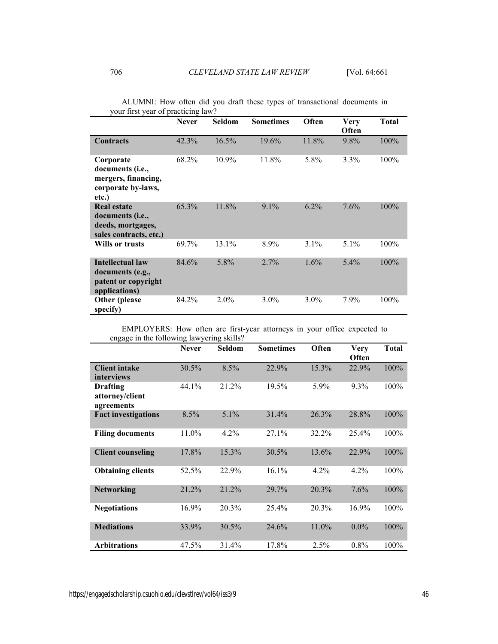|                                                                                              | <b>Never</b> | Seldom  | <b>Sometimes</b> | Often   | <b>Very</b><br>Often | <b>Total</b> |
|----------------------------------------------------------------------------------------------|--------------|---------|------------------|---------|----------------------|--------------|
| <b>Contracts</b>                                                                             | 42.3%        | 16.5%   | 19.6%            | 11.8%   | 9.8%                 | 100%         |
| Corporate<br>documents ( <i>i.e.</i> ,<br>mergers, financing,<br>corporate by-laws,<br>etc.) | 68.2%        | 10.9%   | 11.8%            | 5.8%    | 3.3%                 | 100%         |
| <b>Real estate</b><br>documents (i.e.,<br>deeds, mortgages,<br>sales contracts, etc.)        | 65.3%        | 11.8%   | 9.1%             | 6.2%    | 7.6%                 | 100%         |
| Wills or trusts                                                                              | 69.7%        | 13.1%   | 8.9%             | $3.1\%$ | $5.1\%$              | 100%         |
| <b>Intellectual law</b><br>documents (e.g.,<br>patent or copyright<br>applications)          | 84.6%        | 5.8%    | 2.7%             | $1.6\%$ | $5.4\%$              | 100%         |
| <b>Other</b> (please<br>specify)                                                             | 84.2%        | $2.0\%$ | $3.0\%$          | $3.0\%$ | 7.9%                 | 100%         |

ALUMNI: How often did you draft these types of transactional documents in your first year of practicing law?

EMPLOYERS: How often are first-year attorneys in your office expected to engage in the following lawyering skills?

|                            | <b>Never</b> | Seldom  | <b>Sometimes</b> | Often | <b>Very</b> | <b>Total</b> |
|----------------------------|--------------|---------|------------------|-------|-------------|--------------|
|                            |              |         |                  |       | Often       |              |
| <b>Client intake</b>       | $30.5\%$     | 8.5%    | 22.9%            | 15.3% | 22.9%       | 100%         |
| interviews                 |              |         |                  |       |             |              |
| <b>Drafting</b>            | 44.1%        | 21.2%   | 19.5%            | 5.9%  | 9.3%        | 100%         |
| attorney/client            |              |         |                  |       |             |              |
| agreements                 |              |         |                  |       |             |              |
| <b>Fact investigations</b> | 8.5%         | 5.1%    | 31.4%            | 26.3% | 28.8%       | 100%         |
| <b>Filing documents</b>    | 11.0%        | $4.2\%$ | $27.1\%$         | 32.2% | $25.4\%$    | 100%         |
|                            |              |         |                  |       |             |              |
| <b>Client counseling</b>   | 17.8%        | 15.3%   | 30.5%            | 13.6% | 22.9%       | 100%         |
|                            |              |         |                  |       |             |              |
| <b>Obtaining clients</b>   | 52.5%        | 22.9%   | 16.1%            | 4.2%  | 4.2%        | 100%         |
|                            |              |         |                  |       |             |              |
| <b>Networking</b>          | 21.2%        | 21.2%   | 29.7%            | 20.3% | 7.6%        | 100%         |
|                            |              |         |                  |       |             |              |
| <b>Negotiations</b>        | $16.9\%$     | 20.3%   | 25.4%            | 20.3% | 16.9%       | 100%         |
|                            |              |         |                  |       |             |              |
| <b>Mediations</b>          | 33.9%        | 30.5%   | 24.6%            | 11.0% | $0.0\%$     | 100%         |
|                            |              |         |                  |       |             |              |
| <b>Arbitrations</b>        | 47.5%        | 31.4%   | 17.8%            | 2.5%  | $0.8\%$     | 100%         |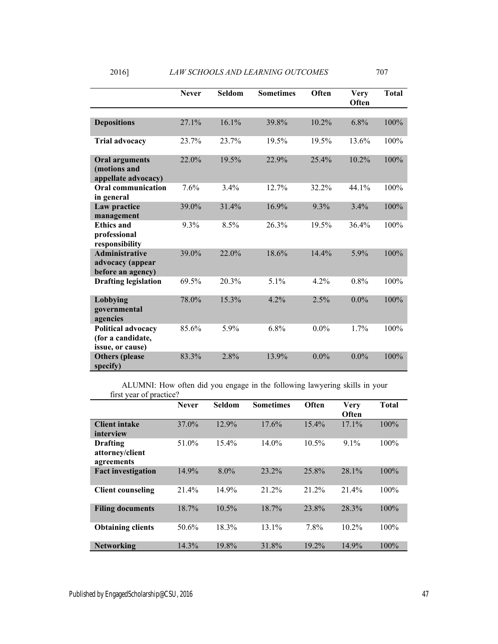|                                                                    | <b>Never</b> | Seldom | <b>Sometimes</b> | Often   | <b>Very</b><br>Often | <b>Total</b> |
|--------------------------------------------------------------------|--------------|--------|------------------|---------|----------------------|--------------|
|                                                                    |              |        |                  |         |                      |              |
| <b>Depositions</b>                                                 | 27.1%        | 16.1%  | 39.8%            | 10.2%   | 6.8%                 | 100%         |
| <b>Trial advocacy</b>                                              | 23.7%        | 23.7%  | 19.5%            | 19.5%   | 13.6%                | 100%         |
| <b>Oral arguments</b><br>(motions and<br>appellate advocacy)       | 22.0%        | 19.5%  | 22.9%            | 25.4%   | 10.2%                | 100%         |
| <b>Oral communication</b><br>in general                            | 7.6%         | 3.4%   | 12.7%            | 32.2%   | 44.1%                | 100%         |
| Law practice<br>management                                         | 39.0%        | 31.4%  | 16.9%            | 9.3%    | 3.4%                 | 100%         |
| <b>Ethics and</b><br>professional<br>responsibility                | 9.3%         | 8.5%   | 26.3%            | 19.5%   | 36.4%                | 100%         |
| <b>Administrative</b><br>advocacy (appear<br>before an agency)     | 39.0%        | 22.0%  | 18.6%            | 14.4%   | 5.9%                 | 100%         |
| <b>Drafting legislation</b>                                        | 69.5%        | 20.3%  | $5.1\%$          | 4.2%    | 0.8%                 | 100%         |
| Lobbying<br>governmental<br>agencies                               | 78.0%        | 15.3%  | 4.2%             | 2.5%    | $0.0\%$              | 100%         |
| <b>Political advocacy</b><br>(for a candidate,<br>issue, or cause) | 85.6%        | 5.9%   | 6.8%             | $0.0\%$ | 1.7%                 | 100%         |
| <b>Others</b> (please<br>specify)                                  | 83.3%        | 2.8%   | 13.9%            | $0.0\%$ | $0.0\%$              | 100%         |

ALUMNI: How often did you engage in the following lawyering skills in your first year of practice?

| 111 U L<br>y var og pravave:              |              |               |                  |          |                      |              |
|-------------------------------------------|--------------|---------------|------------------|----------|----------------------|--------------|
|                                           | <b>Never</b> | <b>Seldom</b> | <b>Sometimes</b> | Often    | <b>Very</b><br>Often | <b>Total</b> |
| <b>Client intake</b><br>interview         | 37.0%        | 12.9%         | 17.6%            | $15.4\%$ | 17.1%                | 100%         |
| Drafting<br>attorney/client<br>agreements | 51.0%        | $15.4\%$      | 14.0%            | $10.5\%$ | $9.1\%$              | 100%         |
| <b>Fact investigation</b>                 | 14.9%        | 8.0%          | 23.2%            | 25.8%    | 28.1%                | 100%         |
| <b>Client counseling</b>                  | 21.4%        | 14.9%         | 21.2%            | 21.2%    | 21.4%                | 100%         |
| <b>Filing documents</b>                   | 18.7%        | 10.5%         | 18.7%            | 23.8%    | 28.3%                | 100%         |
| <b>Obtaining clients</b>                  | $50.6\%$     | 18.3%         | 13.1%            | 7.8%     | 10.2%                | 100%         |
| <b>Networking</b>                         | 14.3%        | 19.8%         | 31.8%            | 19.2%    | 14.9%                | 100%         |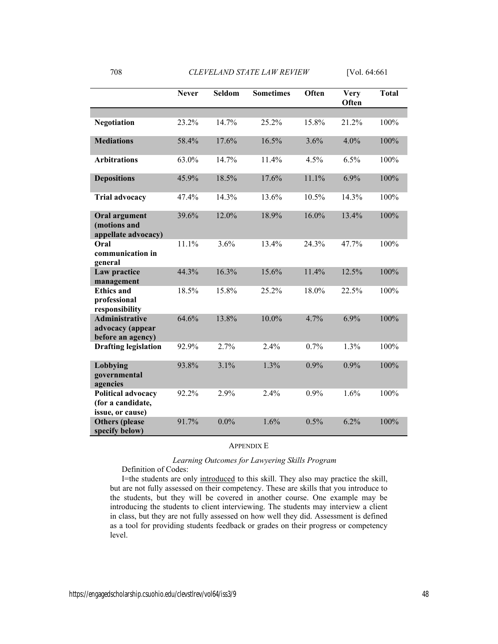|                                                                    | <b>Never</b> | Seldom  | <b>Sometimes</b> | Often   | <b>Very</b><br>Often | <b>Total</b> |
|--------------------------------------------------------------------|--------------|---------|------------------|---------|----------------------|--------------|
| <b>Negotiation</b>                                                 | 23.2%        | 14.7%   | 25.2%            | 15.8%   | 21.2%                | 100%         |
| <b>Mediations</b>                                                  | 58.4%        | 17.6%   | 16.5%            | 3.6%    | 4.0%                 | 100%         |
| <b>Arbitrations</b>                                                | 63.0%        | 14.7%   | 11.4%            | 4.5%    | 6.5%                 | 100%         |
| <b>Depositions</b>                                                 | 45.9%        | 18.5%   | 17.6%            | 11.1%   | 6.9%                 | 100%         |
| <b>Trial advocacy</b>                                              | 47.4%        | 14.3%   | 13.6%            | 10.5%   | 14.3%                | 100%         |
| <b>Oral argument</b><br>(motions and<br>appellate advocacy)        | 39.6%        | 12.0%   | 18.9%            | 16.0%   | 13.4%                | 100%         |
| Oral<br>communication in<br>general                                | 11.1%        | 3.6%    | 13.4%            | 24.3%   | 47.7%                | 100%         |
| Law practice<br>management                                         | 44.3%        | 16.3%   | 15.6%            | 11.4%   | 12.5%                | 100%         |
| <b>Ethics and</b><br>professional<br>responsibility                | 18.5%        | 15.8%   | 25.2%            | 18.0%   | 22.5%                | 100%         |
| <b>Administrative</b><br>advocacy (appear<br>before an agency)     | 64.6%        | 13.8%   | 10.0%            | 4.7%    | 6.9%                 | 100%         |
| <b>Drafting legislation</b>                                        | 92.9%        | 2.7%    | 2.4%             | 0.7%    | 1.3%                 | 100%         |
| Lobbying<br>governmental<br>agencies                               | 93.8%        | 3.1%    | 1.3%             | 0.9%    | 0.9%                 | 100%         |
| <b>Political advocacy</b><br>(for a candidate,<br>issue, or cause) | 92.2%        | 2.9%    | 2.4%             | $0.9\%$ | 1.6%                 | 100%         |
| <b>Others</b> (please<br>specify below)                            | 91.7%        | $0.0\%$ | 1.6%             | 0.5%    | 6.2%                 | 100%         |

# APPENDIX E

# *Learning Outcomes for Lawyering Skills Program*

Definition of Codes:

I=the students are only introduced to this skill. They also may practice the skill, but are not fully assessed on their competency. These are skills that you introduce to the students, but they will be covered in another course. One example may be introducing the students to client interviewing. The students may interview a client in class, but they are not fully assessed on how well they did. Assessment is defined as a tool for providing students feedback or grades on their progress or competency level.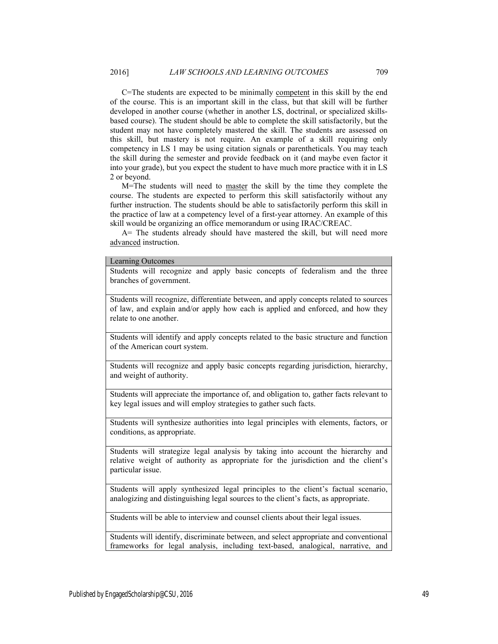C=The students are expected to be minimally competent in this skill by the end of the course. This is an important skill in the class, but that skill will be further developed in another course (whether in another LS, doctrinal, or specialized skillsbased course). The student should be able to complete the skill satisfactorily, but the student may not have completely mastered the skill. The students are assessed on this skill, but mastery is not require. An example of a skill requiring only competency in LS 1 may be using citation signals or parentheticals. You may teach the skill during the semester and provide feedback on it (and maybe even factor it into your grade), but you expect the student to have much more practice with it in LS 2 or beyond.

M=The students will need to master the skill by the time they complete the course. The students are expected to perform this skill satisfactorily without any further instruction. The students should be able to satisfactorily perform this skill in the practice of law at a competency level of a first-year attorney. An example of this skill would be organizing an office memorandum or using IRAC/CREAC.

A= The students already should have mastered the skill, but will need more advanced instruction.

#### Learning Outcomes

Students will recognize and apply basic concepts of federalism and the three branches of government.

Students will recognize, differentiate between, and apply concepts related to sources of law, and explain and/or apply how each is applied and enforced, and how they relate to one another.

Students will identify and apply concepts related to the basic structure and function of the American court system.

Students will recognize and apply basic concepts regarding jurisdiction, hierarchy, and weight of authority.

Students will appreciate the importance of, and obligation to, gather facts relevant to key legal issues and will employ strategies to gather such facts.

Students will synthesize authorities into legal principles with elements, factors, or conditions, as appropriate.

Students will strategize legal analysis by taking into account the hierarchy and relative weight of authority as appropriate for the jurisdiction and the client's particular issue.

Students will apply synthesized legal principles to the client's factual scenario, analogizing and distinguishing legal sources to the client's facts, as appropriate.

Students will be able to interview and counsel clients about their legal issues.

Students will identify, discriminate between, and select appropriate and conventional frameworks for legal analysis, including text-based, analogical, narrative, and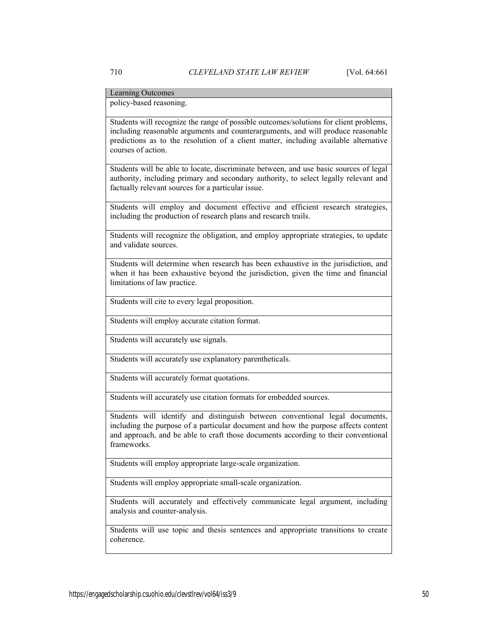Learning Outcomes

policy-based reasoning.

Students will recognize the range of possible outcomes/solutions for client problems, including reasonable arguments and counterarguments, and will produce reasonable predictions as to the resolution of a client matter, including available alternative courses of action.

Students will be able to locate, discriminate between, and use basic sources of legal authority, including primary and secondary authority, to select legally relevant and factually relevant sources for a particular issue.

Students will employ and document effective and efficient research strategies, including the production of research plans and research trails.

Students will recognize the obligation, and employ appropriate strategies, to update and validate sources.

Students will determine when research has been exhaustive in the jurisdiction, and when it has been exhaustive beyond the jurisdiction, given the time and financial limitations of law practice.

Students will cite to every legal proposition.

Students will employ accurate citation format.

Students will accurately use signals.

Students will accurately use explanatory parentheticals.

Students will accurately format quotations.

Students will accurately use citation formats for embedded sources.

Students will identify and distinguish between conventional legal documents, including the purpose of a particular document and how the purpose affects content and approach, and be able to craft those documents according to their conventional frameworks.

Students will employ appropriate large-scale organization.

Students will employ appropriate small-scale organization.

Students will accurately and effectively communicate legal argument, including analysis and counter-analysis.

Students will use topic and thesis sentences and appropriate transitions to create coherence.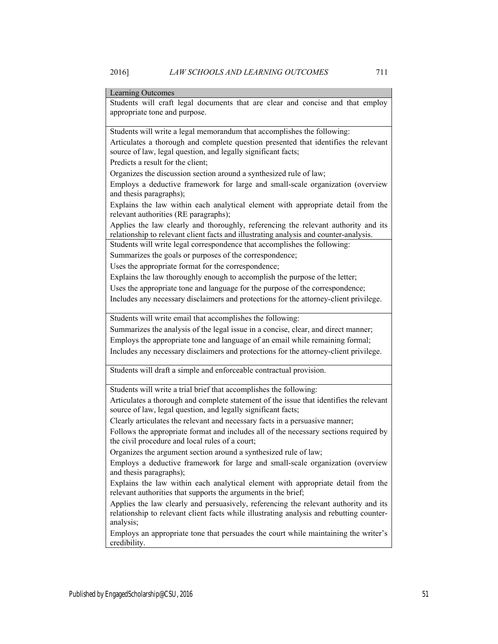# Learning Outcomes

Students will craft legal documents that are clear and concise and that employ appropriate tone and purpose.

Students will write a legal memorandum that accomplishes the following:

Articulates a thorough and complete question presented that identifies the relevant source of law, legal question, and legally significant facts;

Predicts a result for the client;

Organizes the discussion section around a synthesized rule of law;

Employs a deductive framework for large and small-scale organization (overview and thesis paragraphs);

Explains the law within each analytical element with appropriate detail from the relevant authorities (RE paragraphs);

Applies the law clearly and thoroughly, referencing the relevant authority and its relationship to relevant client facts and illustrating analysis and counter-analysis.

Students will write legal correspondence that accomplishes the following:

Summarizes the goals or purposes of the correspondence;

Uses the appropriate format for the correspondence;

Explains the law thoroughly enough to accomplish the purpose of the letter;

Uses the appropriate tone and language for the purpose of the correspondence;

Includes any necessary disclaimers and protections for the attorney-client privilege.

Students will write email that accomplishes the following:

Summarizes the analysis of the legal issue in a concise, clear, and direct manner; Employs the appropriate tone and language of an email while remaining formal; Includes any necessary disclaimers and protections for the attorney-client privilege.

Students will draft a simple and enforceable contractual provision.

Students will write a trial brief that accomplishes the following:

Articulates a thorough and complete statement of the issue that identifies the relevant source of law, legal question, and legally significant facts;

Clearly articulates the relevant and necessary facts in a persuasive manner;

Follows the appropriate format and includes all of the necessary sections required by the civil procedure and local rules of a court;

Organizes the argument section around a synthesized rule of law;

Employs a deductive framework for large and small-scale organization (overview and thesis paragraphs);

Explains the law within each analytical element with appropriate detail from the relevant authorities that supports the arguments in the brief;

Applies the law clearly and persuasively, referencing the relevant authority and its relationship to relevant client facts while illustrating analysis and rebutting counteranalysis;

Employs an appropriate tone that persuades the court while maintaining the writer's credibility.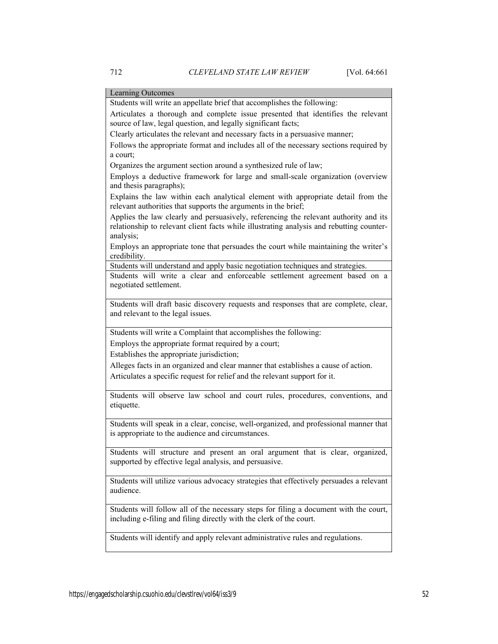Learning Outcomes Students will write an appellate brief that accomplishes the following: Articulates a thorough and complete issue presented that identifies the relevant source of law, legal question, and legally significant facts; Clearly articulates the relevant and necessary facts in a persuasive manner; Follows the appropriate format and includes all of the necessary sections required by a court; Organizes the argument section around a synthesized rule of law; Employs a deductive framework for large and small-scale organization (overview and thesis paragraphs); Explains the law within each analytical element with appropriate detail from the relevant authorities that supports the arguments in the brief; Applies the law clearly and persuasively, referencing the relevant authority and its relationship to relevant client facts while illustrating analysis and rebutting counteranalysis; Employs an appropriate tone that persuades the court while maintaining the writer's credibility. Students will understand and apply basic negotiation techniques and strategies. Students will write a clear and enforceable settlement agreement based on a negotiated settlement. Students will draft basic discovery requests and responses that are complete, clear, and relevant to the legal issues. Students will write a Complaint that accomplishes the following: Employs the appropriate format required by a court; Establishes the appropriate jurisdiction; Alleges facts in an organized and clear manner that establishes a cause of action. Articulates a specific request for relief and the relevant support for it. Students will observe law school and court rules, procedures, conventions, and etiquette. Students will speak in a clear, concise, well-organized, and professional manner that is appropriate to the audience and circumstances. Students will structure and present an oral argument that is clear, organized, supported by effective legal analysis, and persuasive. Students will utilize various advocacy strategies that effectively persuades a relevant audience. Students will follow all of the necessary steps for filing a document with the court, including e-filing and filing directly with the clerk of the court. Students will identify and apply relevant administrative rules and regulations.